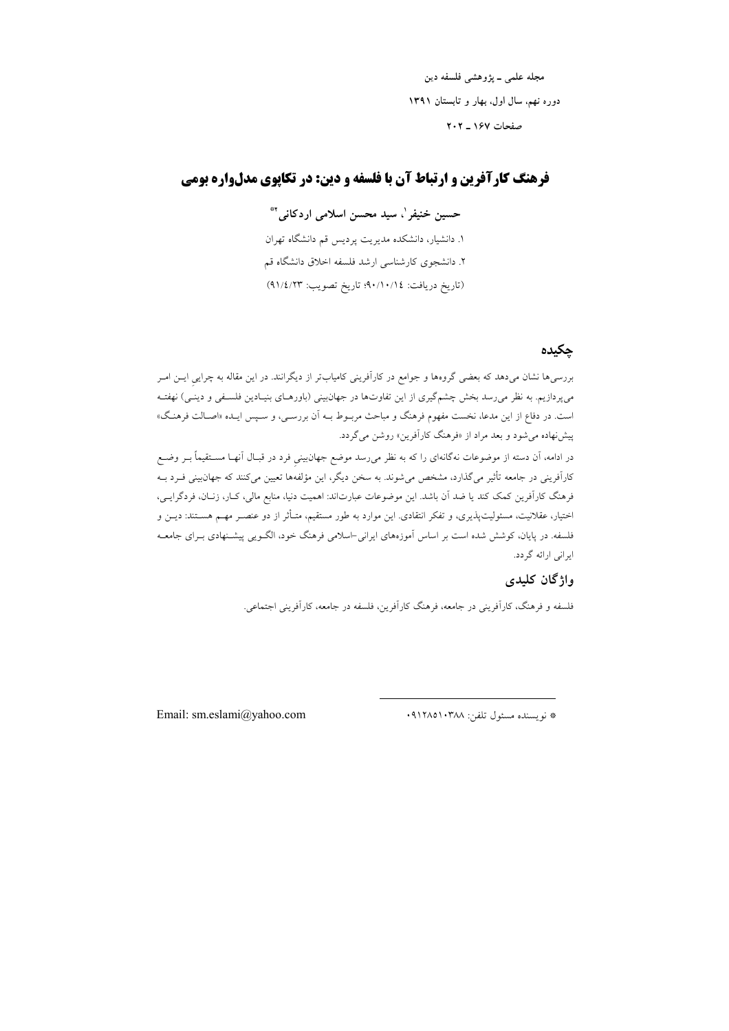مجله علمي ــ يژوهشي فلسفه دين دوره نهم، سال اول، بهار و تابستان ١٣٩١ صفحات ۱۶۷ ـ ۲۰۲

# فرهنگ کارآفرین و ارتباط آن با فلسفه و دین: در تکایوی مدلواره بومی

حسین خنیفر '، سید محسن اسلامی اردکانی '\*

۱. دانشیار، دانشکده مدیریت پردیس قم دانشگاه تهران ۲. دانشجوی کارشناسی ارشد فلسفه اخلاق دانشگاه قم (تاريخ دريافت: ٩٠/١٠/١٤؛ تاريخ تصويب: ٩١/٤/٢٣)

## حكىدە

بررسی۵ نشان میدهد که بعضی گروهها و جوامع در کارآفرینی کامیابتر از دیگرانند. در این مقاله به چرایی ایــن امــر میپردازیم. به نظر میرسد بخش چشمگیری از این تفاوتها در جهان بینی (باورهـای بنیـادین فلسـفی و دینـی) نهفتـه است. در دفاع از این مدعا، نخست مفهوم فرهنگ و مباحث مربـوط بـه اَن بررسـي، و سـپس ايـده «اصـالت فرهنـگ» پیشنهاده می شود و بعد مراد از «فرهنگ کارآفرین» روشن می گردد.

در ادامه، آن دسته از موضوعات نهگانهای را که به نظر میرسد موضع جهانبینی فرد در قبـال آنهـا مسـتقیماً بــر وضــع کارآفرینی در جامعه تأثیر میگذارد، مشخص میشوند. به سخن دیگر، این مؤلفهها تعیین میکنند که جهان،بینی فـرد بــه فرهنگ کاراَفرین کمک کند یا ضد اَن باشد. این موضوعات عبارتاند: اهمیت دنیا، منابع مالی، کـار، زنــان، فردگرایــی، اختیار، عقلانیت، مسئولیتپذیری، و تفکر انتقادی. این موارد به طور مستقیم، متـأثر از دو عنصـر مهـم هسـتند: دیــن و .<br>فلسفه. در پایان، کوشش شده است بر اساس اَموزههای ایرانی-اسلامی فرهنگ خود، الگــویی پیشــنهادی بــرای جامعــه ایرانی ارائه گردد.

## واژگان کليدې

فلسفه و فرهنگ، کارآفرینی در جامعه، فرهنگ کارآفرین، فلسفه در جامعه، کارآفرینی اجتماعی.

Email: sm.eslami@yahoo.com

\* نويسنده مسئول تلفن: ٩١٢٨٥١٠٣٨٨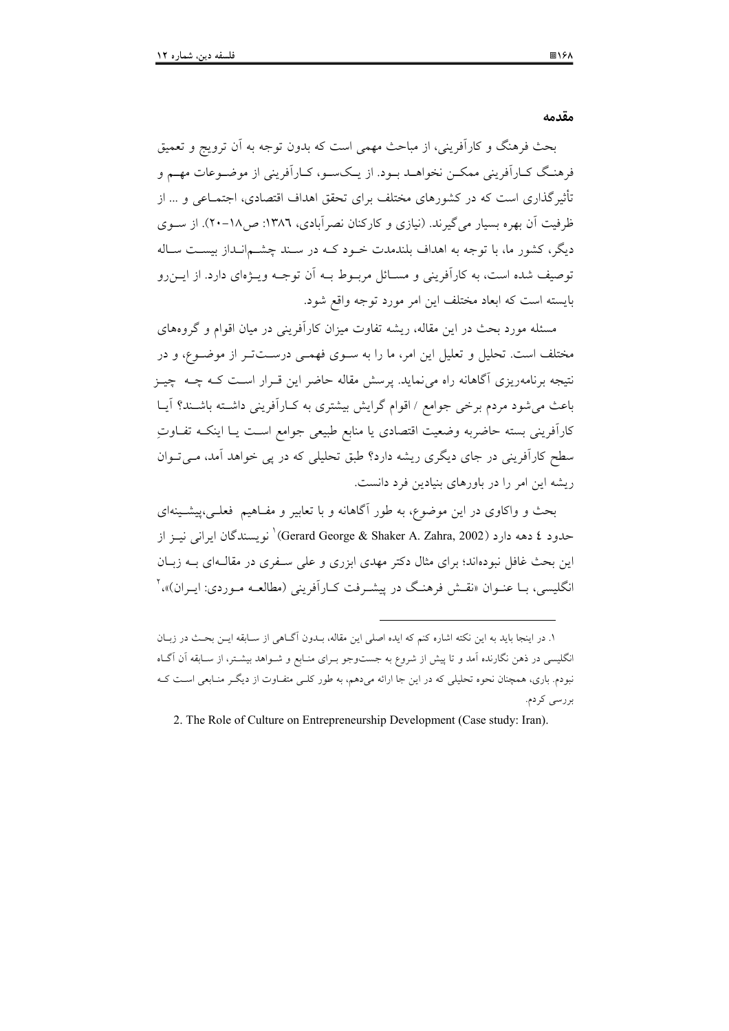مقدمه

بحث فرهنگ و کارآفرینی، از مباحث مهمی است که بدون توجه به آن ترویج و تعمیق فرهنگ کـاراَفريني ممكــن نخواهــد بــود. از يــکســو، کــاراَفريني از موضــوعات مهــم و تأثیر گذاری است که در کشورهای مختلف برای تحقق اهداف اقتصادی، اجتمــاعی و … از ظرفیت آن بهره بسیار می گیرند. (نیازی و کارکنان نصرآبادی، ۱۳۸٦: ص۱۸-۲۰). از سـوی دیگر، کشور ما، با توجه به اهداف بلندمدت خـود کــه در سـند چشــمانـداز بیســت سـاله توصيف شده است، به كارآفريني و مســائل مربــوط بــه أن توجــه ويـــۋەاي دارد. از ايـــن(و بايسته است كه ابعاد مختلف اين امر مورد توجه واقع شود.

مسئله مورد بحث در این مقاله، ریشه تفاوت میزان کارآفرینی در میان اقوام و گروههای مختلف است. تحلیل و تعلیل این امر، ما را به سـوی فهمـی درســتتـر از موضـوع، و در نتیجه برنامهریزی آگاهانه راه می نماید. پرسش مقاله حاضر این قـرار اسـت کـه چــه چیــز باعث می شود مردم برخی جوامع / اقوام گرایش بیشتری به کـارآفرینی داشـته باشـند؟ آیـا كارآفريني بسته حاضربه وضعيت اقتصادى يا منابع طبيعى جوامع است يـا اينكــه تفــاوتِ سطح کارآفرینی در جای دیگری ریشه دارد؟ طبق تحلیلی که در پی خواهد آمد، میتوان ریشه این امر را در باورهای بنیادین فرد دانست.

بحث و واکاوی در این موضوع، به طور آگاهانه و با تعابیر و مفـاهیم فعلـی،پیشـینهای حدود ٤ دهه دارد (Gerard George & Shaker A. Zahra, 2002)' نو يسندگان ايراني نيــز از این بحث غافل نبودهاند؛ برای مثال دکتر مهدی ابزری و علی سـفری در مقالـهای بــه زبــان انگلیسی، بــا عنــوان «نقــش فرهنـگ در پیشــرفت کــاراَفرینی (مطالعــه مــوردی: ایــران)»، `

١. در اینجا باید به این نکته اشاره کنم که ایده اصلی این مقاله، بـدون آگــاهی از ســابقه ایــن بحــث در زبــان انگلیسی در ذهن نگارنده آمد و تا پیش از شروع به جستوجو بـرای منـابع و شـواهد بیشـتر، از سـابقه آن آگــاه نبودم. باری، همچنان نحوه تحلیلی که در این جا ارائه میدهم، به طور کلبی متفاوت از دیگر منـابعی اسـت کـه بر رسی کر دم.

<sup>2.</sup> The Role of Culture on Entrepreneurship Development (Case study: Iran).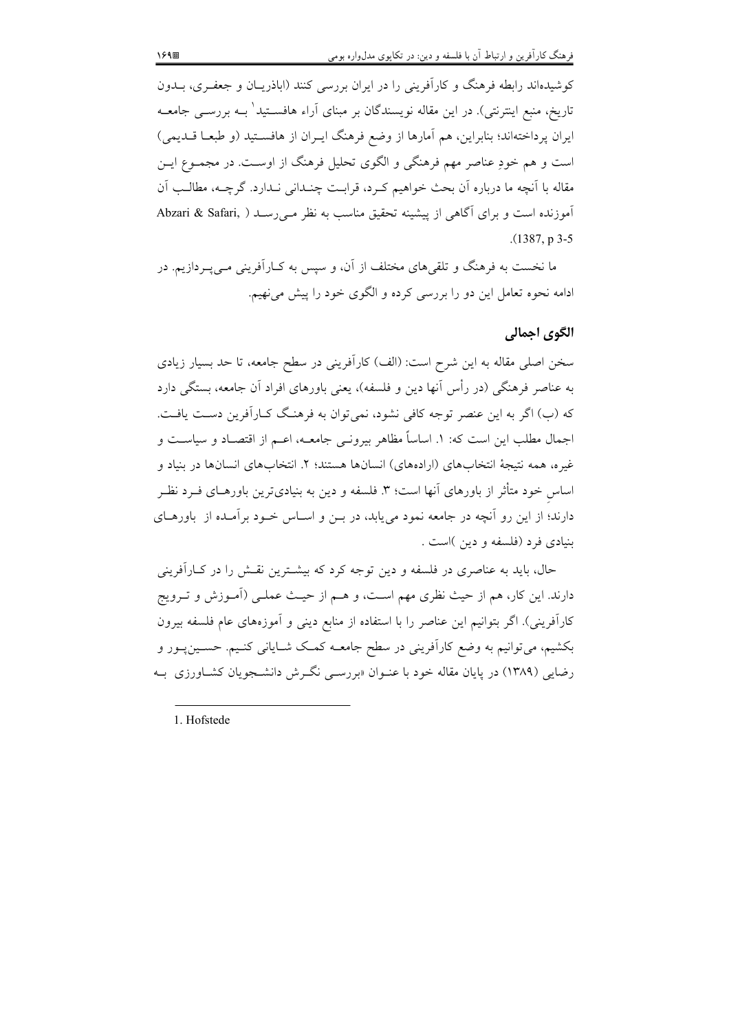کوشیدهاند رابطه فرهنگ و کارآفرینی را در ایران بررسی کنند (اباذریـان و جعفـری، بــدون تاریخ، منبع اینترنتی). در این مقاله نویسندگان بر مبنای آراء هافســتید' بــه بررســی جامعــه ایران پرداختهاند؛ بنابراین، هم آمارها از وضع فرهنگ ایـران از هافسـتید (و طبعـا قــدیمی) است و هم خودِ عناصر مهم فرهنگی و الگوی تحلیل فرهنگ از اوست. در مجمـوع ایــن مقاله با آنچه ما درباره اّن بحث خواهیم کـرد، قرابـت چنـدانی نـدارد. گرچــه، مطالـب اَن آموزنده است و برای آگاهی از پیشینه تحقیق مناسب به نظر مـی(سـد ( Abzari & Safari  $(1387, p.3-5)$ 

ما نخست به فرهنگ و تلقیهای مختلف از آن، و سیس به کـارآفرینی مـی پــردازیم. در ادامه نحوه تعامل این دو را بررسی کرده و الگوی خود را پیش می نهیم.

## الگوي اجمالي

سخن اصلی مقاله به این شرح است: (الف) کارآفرینی در سطح جامعه، تا حد بسیار زیادی به عناصر فرهنگی (در رأس آنها دین و فلسفه)، یعنی باورهای افراد آن جامعه، بستگی دارد که (ب) اگر به این عنصر توجه کافی نشود، نمی توان به فرهنگ کـارآفرین دسـت یافـت. اجمال مطلب این است که: ۱. اساساً مظاهر بیرونـی جامعــه، اعــم از اقتصــاد و سیاســت و غيره، همه نتيجةُ انتخابهاي (ارادههاي) انسانها هستند؛ ٢. انتخابهاي انسانها در بنياد و اساس خود متأثر از باورهای آنها است؛ ۳. فلسفه و دین به بنیادیترین باورهــای فــرد نظــر دارند؛ از این رو آنچه در جامعه نمود می یابد، در بـن و اسـاس خـود برآمـده از باورهـای بنيادي فرد (فلسفه و دين )است .

حال، باید به عناصری در فلسفه و دین توجه کرد که بیشـترین نقـش را در کـارآفرینی دارند. این کار، هم از حیث نظری مهم است، و هــم از حیـث عملــی (آمــوزش و تــرویج کارآفرینی). اگر بتوانیم این عناصر را با استفاده از منابع دینی و آموزههای عام فلسفه بیرون بکشیم، می توانیم به وضع کارآفرینی در سطح جامعــه کمــک شــایانی کنــیم. حســینپــور و رضایی (۱۳۸۹) در پایان مقاله خود با عنـوان «بررسـی نگـرش دانشــجویان کشــاورزی بــه

1. Hofstede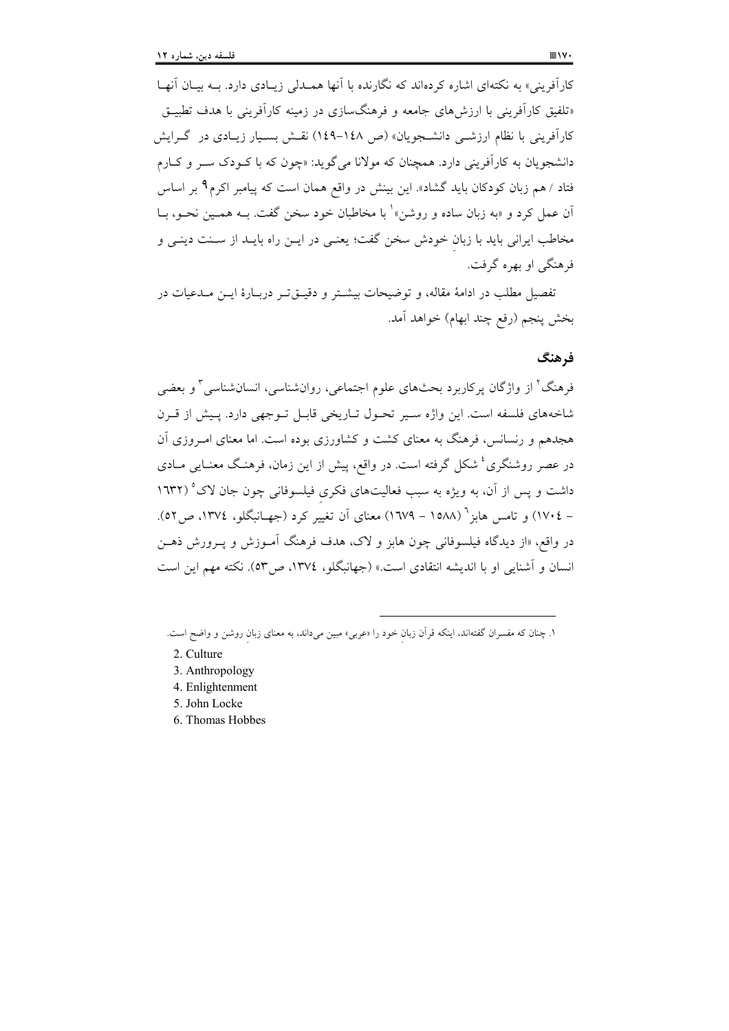کارآفرینی» به نکتهای اشاره کردهاند که نگارنده با آنها همـدلی زیـادی دارد. بــه بیــان آنهــا «تلفیق کارآفرینی با ارزشهای جامعه و فرهنگسازی در زمینه کارآفرینی با هدف تطبیـق کارآفرینی با نظام ارزشــی دانشــجویان» (ص ۱٤۸–۱٤۹) نقــش بســیار زیــادی در گــرایش دانشجويان به كارآفريني دارد. همچنان كه مولانا مي گويد: «چون كه با كـودك سـر و كـارم فتاد / هم زبان کودکان باید گشاد». این بینش در واقع همان است که پیامبر اکرم۹ بر اساس آن عمل کرد و «به زبان ساده و روشن»<sup>۱</sup> با مخاطبان خود سخن گفت. بــه همــین نحــو، بــا مخاطب ايراني بايد با زبان خودش سخن گفت؛ يعنـي در ايــن راه بايــد از ســنت دينــي و فرهنگي او بهره گرفت.

تفصيل مطلب در ادامهٔ مقاله، و توضيحات بيشــتر و دقيــق تــر دربــارهٔ ايــن مــدعيات در بخش ينجم (رفع چند ابهام) خواهد آمد.

## فرهنگ

فرهنگ' از واژگان پرکاربرد بحثهای علوم اجتماعی، روانشناسی، انسانشناسی ؓ و بعضی شاخههای فلسفه است. این واژه سبیر تحـول تـاریخی قابـل تـوجهی دارد. پـیش از قـرن هجدهم و رنسانس، فرهنگ به معنای کشت و کشاورزی بوده است. اما معنای امیروزی آن در عصر روشنگری<sup>،</sup> شکل گرفته است. در واقع، پیش از این زمان، فرهنگ معنـایی مــادی داشت و پس از آن، به ویژه به سبب فعالیتهای فکری فیلسوفانی چون جان لاک° (۱۳۲۲ – ١٧٠٤) و تامس هابز " (١٥٨٨ – ١٦٧٩) معناي آن تغيير كرد (جهــانبگلو، ١٣٧٤، ص٥٢). در واقع، «از ديدگاه فيلسوفاني چون هابز و لاک، هدف فرهنگ آمـوزش و يــرورش ذهــن انسان و آشنایی او با اندیشه انتقادی است.» (جهانبگلو، ١٣٧٤، ص٥٣). نکته مهم این است

- 2. Culture
- 3. Anthropology
- 4. Enlightenment
- 5. John Locke
- 6. Thomas Hobbes

۱. چنان که مفسران گفتهاند، اینکه قرآن زبان خود را «عربی» مبین میداند، به معنای زبان روشن و واضح است.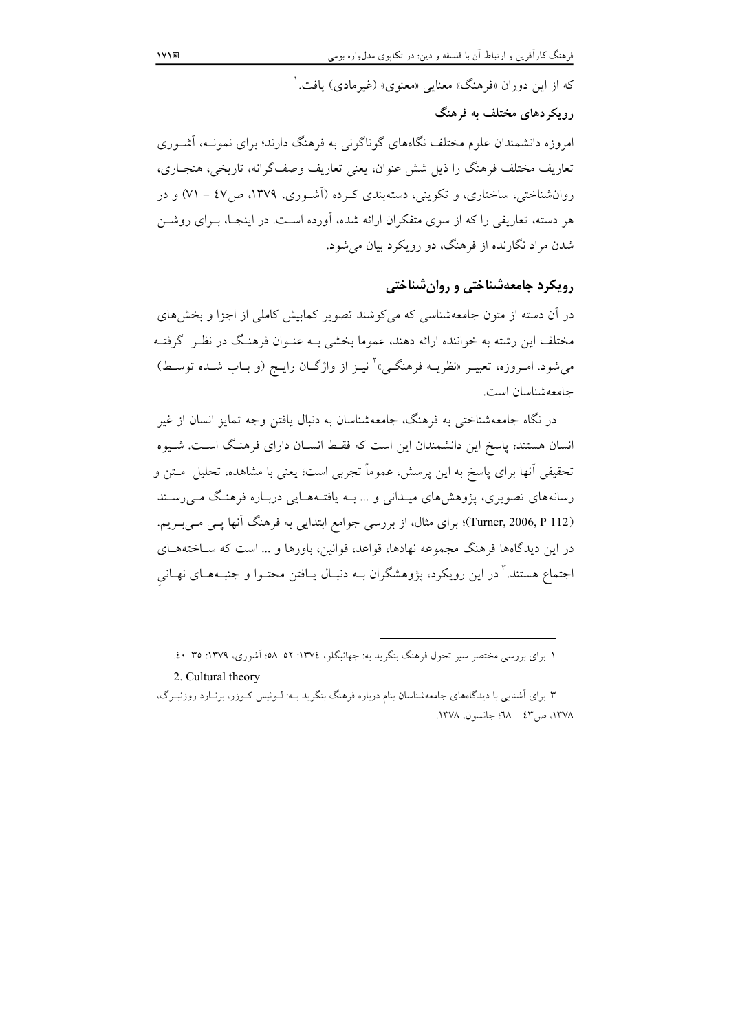که از این دوران «فرهنگ» معنایی «معنوی» (غیرمادی) یافت. ٰ

## رویکردهای مختلف به فرهنگ

امروزه دانشمندان علوم مختلف نگاههای گوناگونی به فرهنگ دارند؛ برای نمونــه، آشــوری تعاريف مختلف فرهنگ را ذيل شش عنوان، يعني تعاريف وصف\$رانه، تاريخي، هنجــاري، روانشناختی، ساختاری، و تکوینی، دستهبندی کـرده (آشـوری، ۱۳۷۹، ص۶۷ – ۷۱) و در هر دسته، تعاریفی را که از سوی متفکران ارائه شده، آورده اسـت. در اینجـا، بـرای روشــن شدن مراد نگارنده از فرهنگ، دو رویکرد بیان می شود.

## رویکرد جامعهشناختی و روان شناختی

در آن دسته از متون جامعهشناسی که می کوشند تصویر کمابیش کاملی از اجزا و بخش های مختلف این رشته به خواننده ارائه دهند، عموما بخشی بـه عنـوان فرهنـگ در نظـر گرفتـه می شود. امـروزه، تعبیــر «نظریــه فرهنگــی»<sup>۲</sup> نیــز از واژگــان رایــج (و بــاب شــده توســط) جامعهشناسان است.

در نگاه جامعهشناختی به فرهنگ، جامعهشناسان به دنبال یافتن وجه تمایز انسان از غیر انسان هستند؛ پاسخ این دانشمندان این است که فقـط انســان دارای فرهنـگ اســت. شــیوه تحقیقی أنها برای پاسخ به این پرسش، عموماً تجربی است؛ یعنی با مشاهده، تحلیل ًمتن و رسانههای تصویری، پژوهشهای میـدانی و … بــه یافتــههـایی دربـاره فرهنـگ مــی(سـند (Turner, 2006, P 112)؛ برای مثال، از بررسی جوامع ابتدایی به فرهنگ آنها یسی مسی ب یم. در این دیدگاهها فرهنگ مجموعه نهادها، قواعد، قوانین، باورها و … است که ســاختههــای اجتماع هستند." در این رویکرد، پژوهشگران بـه دنبـال پـافتن محتـوا و جنبـههـای نهـانی

١. برای بررسی مختصر سیر تحول فرهنگ بنگرید به: جهانبگلو، ١٣٧٤: ٥٢-٥٨؛ آشوری، ١٣٧٩: ٣٥-٤٠.

<sup>2.</sup> Cultural theory

۳. برای آشنایی با دیدگاههای جامعهشناسان بنام درباره فرهنگ بنگرید بــه: لــوئیس کــوزر، برنــارد روزنبــرگ، ١٣٧٨، ص٣٤ - ٦٨: جانسون، ١٣٧٨.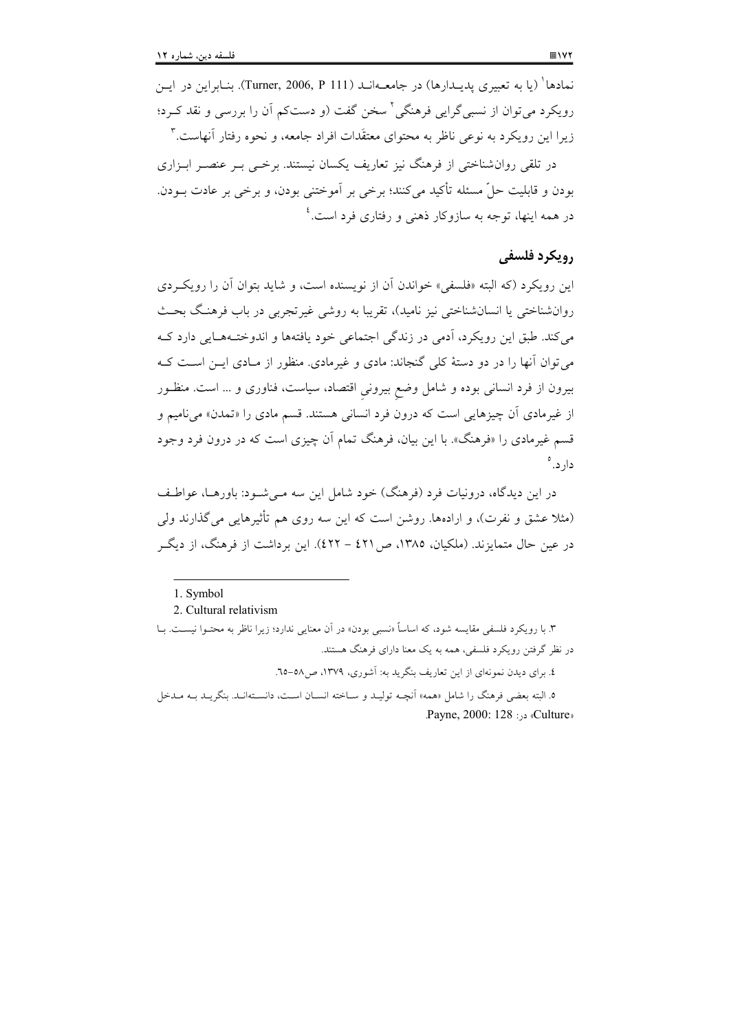نمادها<sup>\ (</sup>يا به تعبيري پديـدارها) در جامعــهانـد (Turner, 2006, P 111). بنــابراين در ايــن رویکرد میتوان از نسبیگرایی فرهنگی ٔ سخن گفت (و دستکم اَن را بررسی و نقد کـرد؛ زیرا این رویکرد به نوعی ناظر به محتوای معتقَدات افراد جامعه، و نحوه رفتار آنهاست. ۳ در تلقی روانشناختی از فرهنگ نیز تعاریف یکسان نیستند. برخبی بـر عنصـر ابـزاری

بودن و قابلیت حلِّ مسئله تأکید میکنند؛ برخی بر آموختنی بودن، و برخی بر عادت بــودن. در همه اینها، توجه به سازوکار ذهن<sub>ی،</sub> و رفتاری فرد است.<sup>؛</sup>

## رويكرد فلسفى

این رویکرد (که البته «فلسفی» خواندن آن از نویسنده است، و شاید بتوان آن را رویکردی روانشناختی یا انسانشناختی نیز نامید)، تقریبا به روشی غیرتجربی در باب فرهنگ بحث می کند. طبق این رویکرد، اَدمی در زندگی اجتماعی خود یافتهها و اندوختـههـایی دارد کـه می توان آنها را در دو دستهٔ کلی گنجاند: مادی و غیرمادی. منظور از مـادی ایــن اسـت کــه بیرون از فرد انسانی بوده و شامل وضع بیرونی اقتصاد، سیاست، فناوری و … است. منظـور از غیرمادی آن چیزهایی است که درون فرد انسانی هستند. قسم مادی را «تمدن» میiامیم و قسم غیرمادی را «فرهنگ». با این بیان، فرهنگ تمام آن چیزی است که در درون فرد وجود دار د. °

در این دیدگاه، درونیات فرد (فرهنگ) خود شامل این سه مے شــود: باورهــا، عواطـف (مثلا عشق و نفرت)، و ارادهها. روشن است که این سه روی هم تأثیرهایی می گذارند ولی در عین حال متمایزند. (ملکیان، ۱۳۸۵، ص ٤٢١ – ٤٢٢). این برداشت از فرهنگ، از دیگـر

٤. برای دیدن نمونهای از این تعاریف بنگرید به: آشوری، ١٣٧٩، ص٥٨-٦.

<sup>1.</sup> Symbol

<sup>2.</sup> Cultural relativism

۳. با رویکرد فلسفی مقایسه شود، که اساساً «نسبی بودن» در آن معنایی ندارد؛ زیرا ناظر به محتـوا نیسـت. بــا در نظر گرفتن رویکرد فلسفی، همه به یک معنا دارای فرهنگ هستند.

٥. البته بعضي فرهنگ را شامل «همه» أنچــه توليــد و ســاخته انســان اســت، دانســتهانــد. بنگريــد بــه مــدخل .Payne, 2000: 128 : 2000.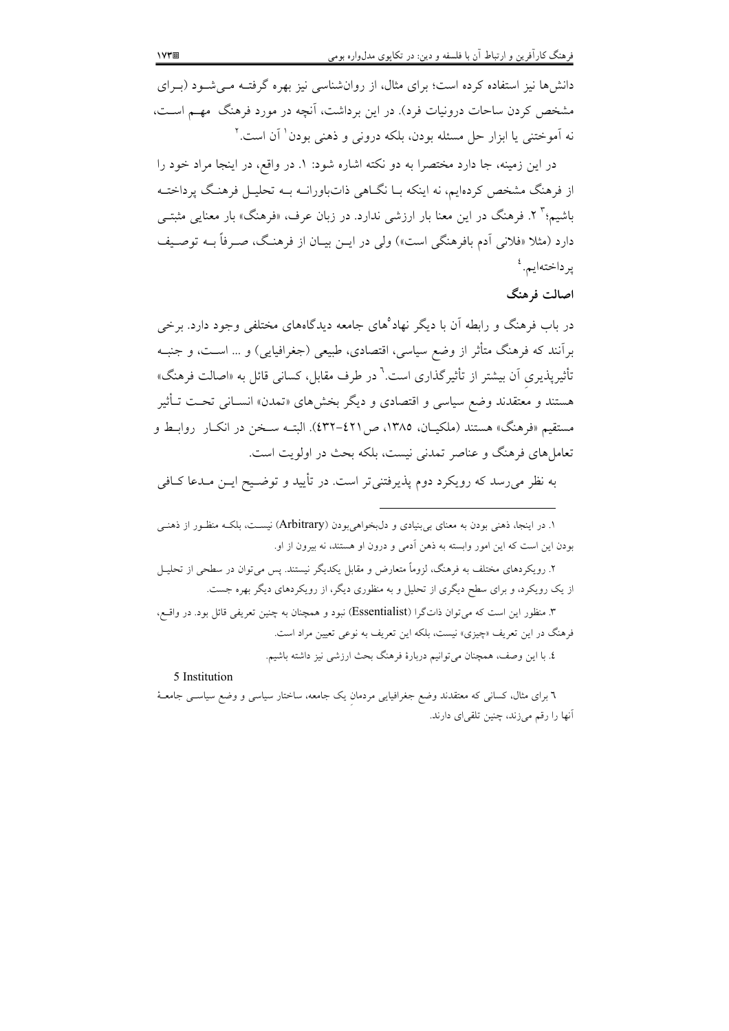دانشها نیز استفاده کرده است؛ برای مثال، از روانشناسی نیز بهره گرفتـه مـی شـود (بـرای مشخص کردن ساحات درونیات فرد). در این برداشت، آنچه در مورد فرهنگ ً مهـم اسـت، نه اَموختنی یا ابزار حل مسئله بودن، بلکه درونی و ذهنی بودن<sup>۱</sup> اَن است.<sup>۲</sup>

در این زمینه، جا دارد مختصرا به دو نکته اشاره شود: ۱. در واقع، در اینجا مراد خود را از فرهنگ مشخص کردهایم، نه اینکه بـا نگــاهی ذاتباورانــه بــه تحلیــل فرهنــگ پرداختــه باشیم؛" ۲. فرهنگ در این معنا بار ارزشی ندارد. در زبان عرف، «فرهنگ» بار معنایی مثبتــی دارد (مثلا «فلانی اَدم بافرهنگی است») ولی در ایــن بیــان از فرهنـگ، صــرفاً بــه توصــیف ي<sub>ر</sub> داختهايم. <sup>٤</sup>

#### اصالت فرهنگ

در باب فرهنگ و رابطه آن با دیگر نهاد ْهای جامعه دیدگاههای مختلفی وجود دارد. برخی برآنند که فرهنگ متأثر از وضع سیاسی، اقتصادی، طبیعی (جغرافیایی) و … اسـت، و جنبـه تأثیرپذیری آن بیشتر از تأثیرگذاری است.<sup>٦</sup> در طرف مقابل، کسانی قائل به «اصالت فرهنگ» هستند و معتقدند وضع سیاسی و اقتصادی و دیگر بخشهای «تمدن» انســانی تحــت تــأثیر مستقيم «فرهنگ» هستند (ملكيـان، ١٣٨٥، ص٢٢١-٤٣٢). البتــه ســخن در انكــار روابــط و تعاملهای فرهنگ و عناصر تمدنی نیست، بلکه بحث در اولویت است.

به نظر میرسد که رویکرد دوم پذیرفتنی تر است. در تأیید و توضیح ایــن مــدعا کــافی

۱. در اینجا، ذهنی بودن به معنای برپنیادی و دل $\epsilon$ بخواهی بودن (Arbitrary) نیســت، بلکــه منظـور از ذهنــی بودن این است که این امور وابسته به ذهن آدمی و درون او هستند، نه بیرون از او. ۲. رویکردهای مختلف به فرهنگ، لزوماً متعارض و مقابل یکدیگر نیستند. پس میتوان در سطحی از تحلیـل از یک رویکرد، و برای سطح دیگری از تحلیل و به منظوری دیگر، از رویکردهای دیگر بهره جست. ۳. منظور این است که می توان ذاتگرا (Essentialist) نبود و همچنان به چنین تعریفی قائل بود. در واقسع، فرهنگ در این تعریف «چیزی» نیست، بلکه این تعریف به نوعی تعیین مراد است. ٤. با اين وصف، همچنان مي توانيم دربارهٔ فرهنگ بحث ارزشي نيز داشته باشيم.

5 Institution

٦ برای مثال، کسانی که معتقدند وضع جغرافیایی مردمان یک جامعه، ساختار سیاسی و وضع سیاسـی جامعـهٔ آنها را رقم میزند، چنین تلقیای دارند.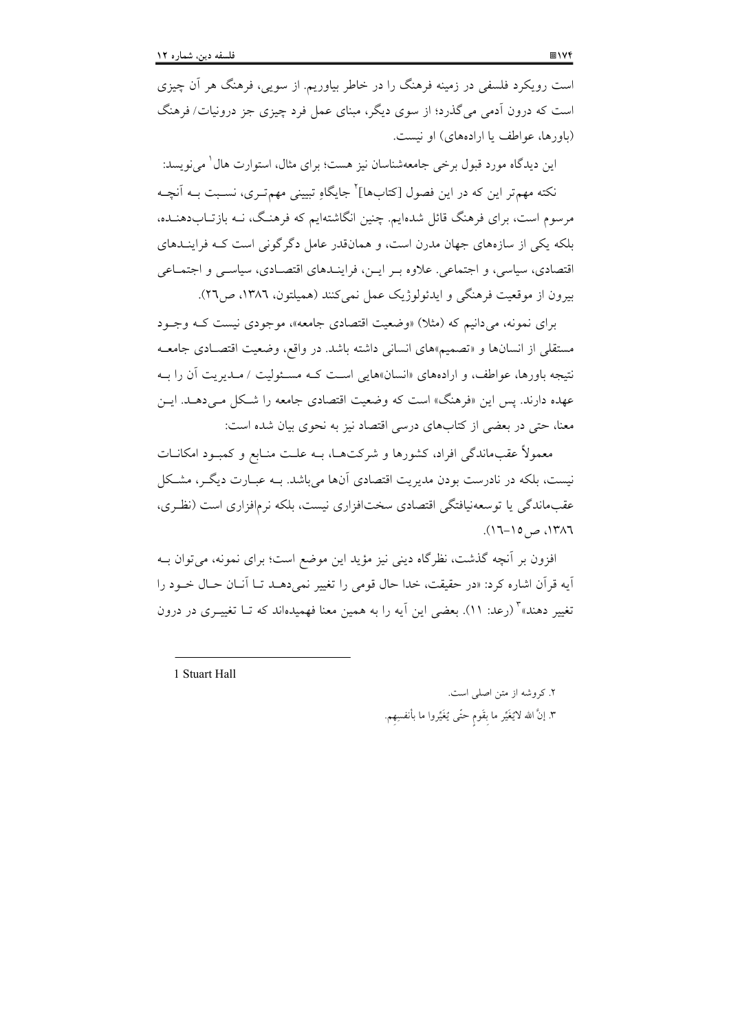است رویکرد فلسفی در زمینه فرهنگ را در خاطر بیاوریم. از سویی، فرهنگ هر آن چیزی است که درون آدمی میگذرد؛ از سوی دیگر، مبنای عمل فرد چیزی جز درونیات/فرهنگ (باورها، عواطف یا ارادههای) او نیست.

این دیدگاه مورد قبول برخی جامعهشناسان نیز هست؛ برای مثال، استوارت هال ٰ می نویسد: نکته مهمتر این که در این فصول [کتابها]<sup>۲</sup> جایگاهِ تبیینی مهمتـری، نسـبت بــه اَنچــه مرسوم است، برای فرهنگ قائل شدهایم. چنین انگاشتهایم که فرهنگ، نــه بازتــابدهنــده، بلکه یکم از سازههای جهان مدرن است، و همانقدر عامل دگرگونی است کـه فراینــدهای اقتصادی، سیاسی، و اجتماعی. علاوه بـر ایـن، فراینـدهای اقتصـادی، سیاسـی و اجتمـاعی بيرون از موقعيت فرهنگي و ايدئولوژيک عمل نمي کنند (هميلتون، ١٣٨٦، ص٢٦).

برای نمونه، میدانیم که (مثلا) «وضعیت اقتصادی جامعه»، موجودی نیست کـه وجـود مستقلَّی از انسانها و «تصمیم»های انسانی داشته باشد. در واقع، وضعیت اقتصـادی جامعـه نتیجه باورها، عواطف، و ارادههای «انسان»هایی است کـه مسـئولیت / مـدیریت آن را بـه عهده دارند. پس این «فرهنگ» است که وضعیت اقتصادی جامعه را شکل مبی دهــد. ایــن معنا، حتى در بعضى از كتابهاى درسى اقتصاد نيز به نحوى بيان شده است:

معمولاً عقب،اندگی افراد، کشورها و شرکتها، بـه علـت منـابع و کمبـود امکانــات نیست، بلکه در نادرست بودن مدیریت اقتصادی آنها می باشد. بـه عبـارت دیگـر، مشـکل عقبِماندگی یا توسعهنیافتگی اقتصادی سختِافزاری نیست، بلکه نرمافزاری است (نظـری، ١٣٨٦، ص١٥-١٦).

افزون بر آنچه گذشت، نظرِگاه دینی نیز مؤید این موضع است؛ برای نمونه، می توان بـه اّيه قرأن اشاره كرد: «در حقيقت، خدا حال قومي را تغيير نمي دهـد تــا أنــان حــال خــود را تغییر دهند» ٌ (رعد: ۱۱). بعضی این اَیه را به همین معنا فهمیدهاند که تــا تغییــری در درون

1 Stuart Hall

۲. کروشه از متن اصلی است. ٣. إنَّ الله لايُغَيِّر ما بقَوم حتَّى يُغَيِّروا ما بأنفسِهم.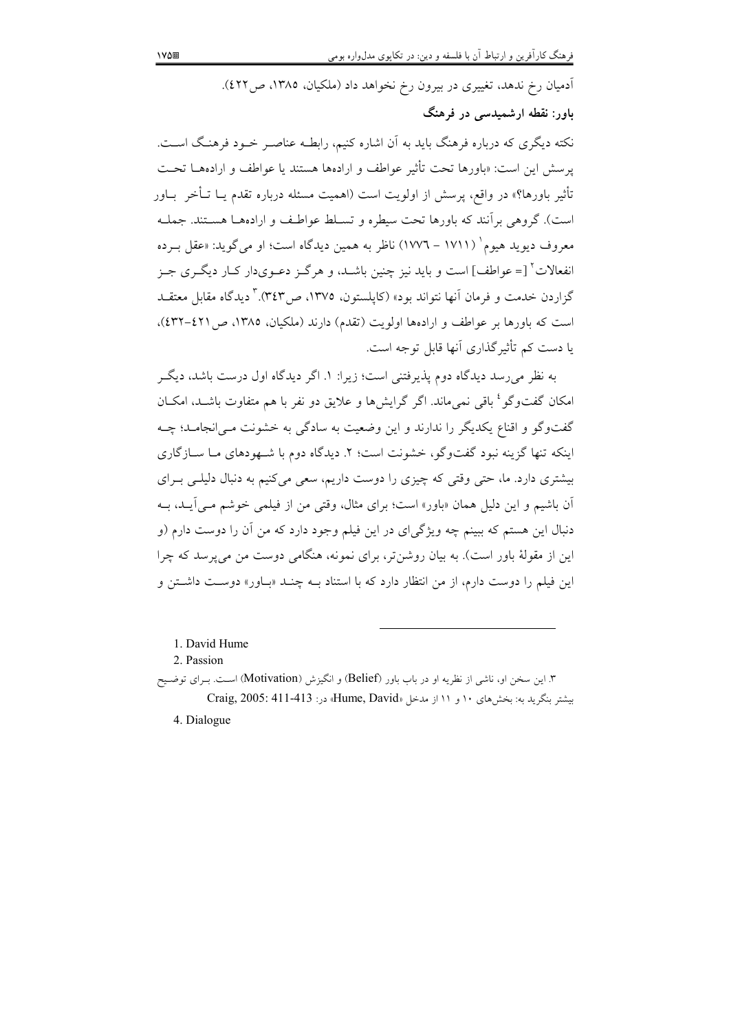آدمیان رخ ندهد، تغییری در بیرون رخ نخواهد داد (ملکیان، ۱۳۸۵، ص۶۲۲).

## باور: نقطه ارشمیدسی در فرهنگ

نکته دیگری که درباره فرهنگ باید به آن اشاره کنیم، رابطـه عناصـر خــود فرهنـگ اســت. يرسش اين است: «باورها تحت تأثير عواطف و ارادهها هستند يا عواطف و ارادههــا تحـت تأثير باورها؟» در واقع، يرسش از اولويت است (اهميت مسئله درباره تقدم يــا تــأخر بــاور است). گروهی برآنند که باورها تحت سیطره و تسـلط عواطـف و ارادههــا هســتند. جملــه معروف ديويد هيوم` (١٧١١ – ١٧٧٦) ناظر به همين ديدگاه است؛ او مي گويد: «عقل بـرده انفعالات ٌ [= عواطف] است و باید نیز چنین باشـد، و هرگـز دعـوی،دار کـار دیگـری جـز گزاردن خدمت و فرمان آنها نتواند بود» (کاپلستون، ۱۳۷۵، ص۳٤۳). ۳ دیدگاه مقابل معتقــد است که باورها بر عواطف و ارادهها اولویت (تقدم) دارند (ملکیان، ۱۳۸۵، ص ۶۲۱-۶۳۲)، یا دست کم تأثیر گذاری آنها قابل توجه است.

به نظر می رسد دیدگاه دوم پذیرفتنی است؛ زیرا: ۱. اگر دیدگاه اول درست باشد، دیگر امکان گفتوگو <sup>؛</sup> باقی نمی ماند. اگر گرایش ها و علایق دو نفر با هم متفاوت باشــد، امکــان گفتوگو و اقناع یکدیگر را ندارند و این وضعیت به سادگی به خشونت مـی|نجامــد؛ چــه اینکه تنها گزینه نبود گفتوگو، خشونت است؛ ۲. دیدگاه دوم با شـهودهای مـا ســازگاری بیشتری دارد. ما، حتی وقتی که چیزی را دوست داریم، سعی میکنیم به دنبال دلیلـی بـرای اّن باشیم و این دلیل همان «باور» است؛ برای مثال، وقتی من از فیلمی خوشم مبی آیید، ب<u>ه</u> دنبال این هستم که ببینم چه ویژگی/ی در این فیلم وجود دارد که من آن را دوست دارم (و این از مقولهٔ باور است). به بیان روشن تر، برای نمونه، هنگامی دوست من می پرسد که چرا این فیلم را دوست دارم، از من انتظار دارد که با استناد بــه چنــد «بــاور» دوســت داشــتن و

1. David Hume

2. Passion

۳. این سخن او، ناشی از نظریه او در باب باور (Belief) و انگیزش (Motivation) اسـت. بـرای توضـیح بيشتر بنكريد به: بخشهاى ١٠ و ١١ از مدخل «Hume, David» در: 111-413: 2005

4. Dialogue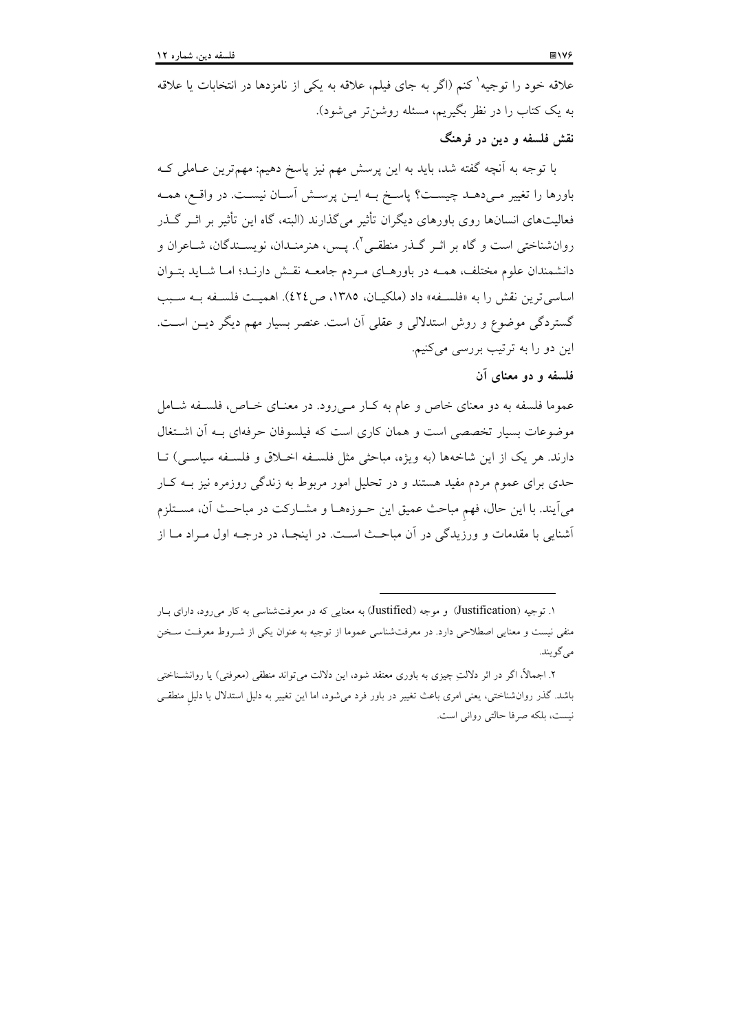علاقه خود را توجیه<sup>۱</sup> کنم (اگر به جای فیلم، علاقه به یکی از نامزدها در انتخابات یا علاقه به یک کتاب را در نظر بگیریم، مسئله روشنتر میشود).

نقش فلسفه و دين در فرهنگ

با توجه به آنچه گفته شد، باید به این پرسش مهم نیز پاسخ دهیم: مهمترین عــاملی کــه باورها را تغییر مـی۵هـد چیســت؟ پاسـخ بــه ایــن پرســش آســان نیســت. در واقــع، همــه فعالیتهای انسانها روی باورهای دیگران تأثیر می گذارند (البته، گاه این تأثیر بر اثــر گــذر روانشناختی است و گاه بر اثــر گـــذر منطقــی ْ\. پــس، هنرمنــدان، نویســندگان، شــاعران و دانشمندان علوم مختلف، همــه در باورهــاي مــردم جامعــه نقــش دارنــد؛ امــا شــايد بتــوان اساسی ترین نقش را به «فلسفه» داد (ملکیان، ۱۳۸۵، ص ٤٢٤). اهمیت فلسفه بـه سـبب گستردگی موضوع و روش استدلالی و عقلی آن است. عنصر بسیار مهم دیگر دیــز اســت. این دو را به ترتیب بررسی می کنیم.

فلسفه و دو معنای آن

عموما فلسفه به دو معنای خاص و عام به کبار مهیرود. در معنـای خـاص، فلسـفه شـامل موضوعات بسیار تخصصی است و همان کاری است که فیلسوفان حرفهای بـه آن اشتغال دارند. هر يک از اين شاخهها (به ويژه، مباحثي مثل فلسـفه اخـلاق و فلسـفه سياسـي) تــا حدی برای عموم مردم مفید هستند و در تحلیل امور مربوط به زندگی روزمره نیز بـه کـار میآیند. با این حال، فهم مباحث عمیق این حـوزههــا و مشــارکت در مباحـث آن، مســتلزم آشنایی با مقدمات و ورزیدگی در آن مباحث است. در اینجـا، در درجـه اول مـراد مــا از

۱. توجیه (Justification) و موجه (Justified) به معنایی که در معرفتشناسی به کار می رود، دارای بـار منفی نیست و معنایی اصطلاحی دارد. در معرفتشناسی عموما از توجیه به عنوان یکی از شـروط معرفـت سـخن مے گو بند.

۲. اجمالاً، اگر در اثر دلالتِ چیزی به باوری معتقد شود، این دلالت میتواند منطقی (معرفتی) یا روانشـناختی باشد. گذر روان شناختی، یعنی امری باعث تغییر در باور فرد می شود، اما این تغییر به دلیل استدلال یا دلیل منطقـی نیست، بلکه صرفا حالتی روانی است.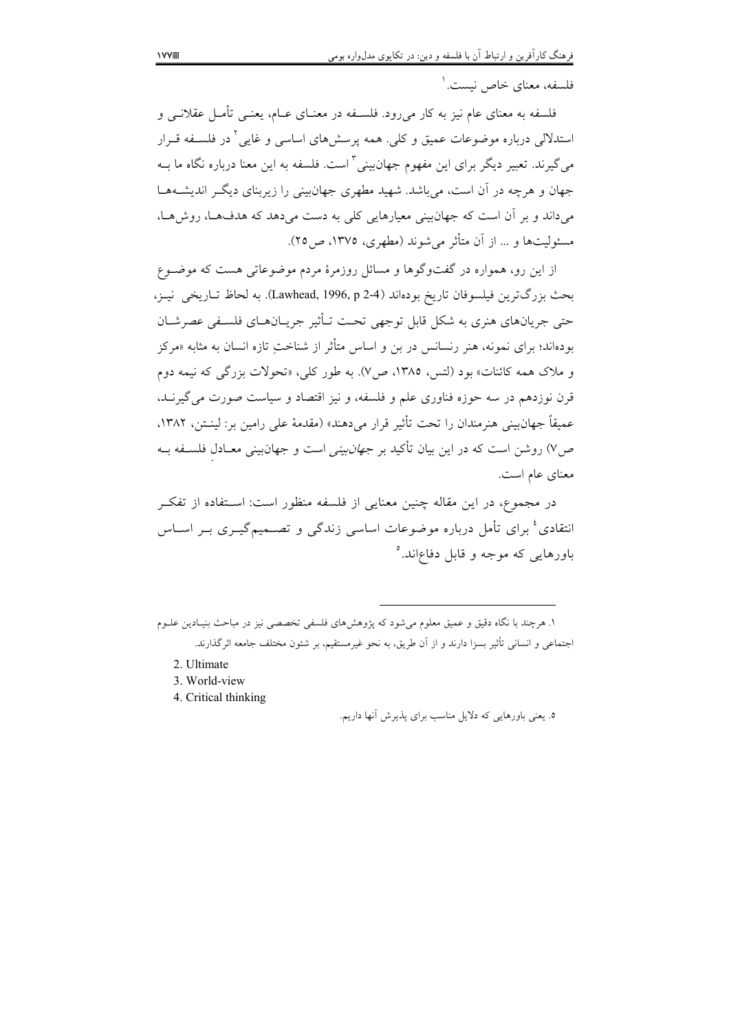فلسفه، معنای خاص نیست.'

فلسفه به معنای عام نیز به کار میرود. فلسـفه در معنــای عــام، یعنــی تأمــل عقلانــی و استدلالی درباره موضوعات عمیق و کلی. همه پرسش۵ای اساسی و غایی ٔ در فلسـفه قـرار می گیرند. تعبیر دیگر برای این مفهوم جهانبینی ّ است. فلسفه به این معنا درباره نگاه ما بــه جهان و هرچه در آن است، می باشد. شهید مطهری جهان بینی را زیربنای دیگر اندیشـههـا می داند و بر آن است که جهان بینی معیارهایی کلی به دست می دهد که هدفها، روش هـا، مسئوليتها و ... از آن متأثر مي شوند (مطهري، ١٣٧٥، ص٢٥).

از این رو، همواره در گفتوگوها و مسائل روزمرهٔ مردم موضوعاتی هست که موضـوع بحث بزرگترين فيلسوفان تاريخ بودهاند (Lawhead, 1996, p 2-4). به لحاظ تـاريخي نيـز، حتی جریانهای هنری به شکل قابل توجهی تحت تـأثیر جریـانهـای فلسـفی عصرشـان بودهاند؛ برای نمونه، هنر رنسانس در بن و اساس متأثر از شناخت تازه انسان به مثابه «مرکز و ملاک همه کائنات» بود (لتس، ۱۳۸۵، ص۷). به طور کلی، «تحولات بزرگی که نیمه دوم قرن نوزدهم در سه حوزه فناوری علم و فلسفه، و نیز اقتصاد و سیاست صورت می گیرنـد، عميقاً جهانبيني هنرمندان را تحت تأثير قرار مي دهند» (مقدمهٔ علي رامين بر: لينـتن، ١٣٨٢، ص۷) روشن است که در این بیان تأکید بر *جهان بینی* است و جهان بینی معــادل فلســفه بــه معنای عام است.

در مجموع، در این مقاله چنین معنایی از فلسفه منظور است: اسـتفاده از تفکـر انتقادی<sup>،</sup> برای تأمل درباره موضوعات اساسی زندگی و تصــمیمگیــری بــر اســاس باورهایی که موجه و قابل دفاعاند.°

- 2. Ultimate
- 3. World-view
- 4. Critical thinking

١. هرچند با نگاه دقیق و عمیق معلوم می شود که پژوهش های فلسفی تخصصی نیز در مباحث بنیـادین علــوم اجتماعي و انساني تأثير بسزا دارند و از آن طريق، به نحو غيرمستقيم، بر شئون مختلف جامعه اثر گذارند.

٥. يعني باورهايي كه دلايل مناسب براي پذيرش أنها داريم.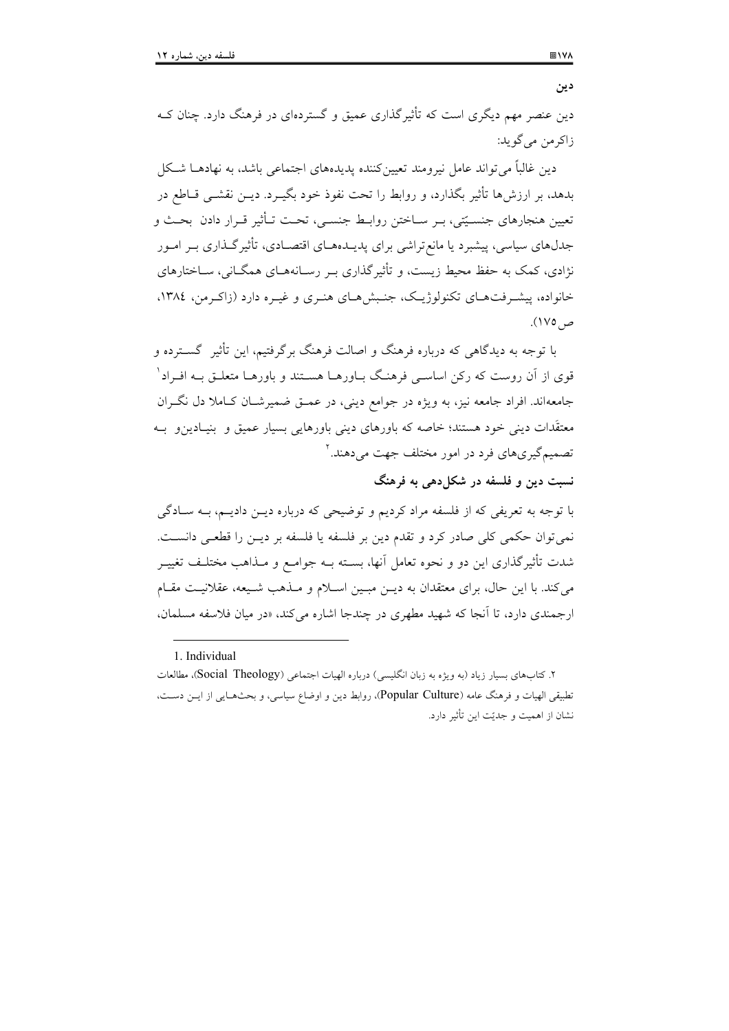دین عنصر مهم دیگری است که تأثیر گذاری عمیق و گستر دهای در فرهنگ دارد. جنان کـه زاکر من می گوید:

دین غالباً می تواند عامل نیرومند تعیین کننده پدیدههای اجتماعی باشد، به نهادهــا شــکل بدهد، بر ارزشها تأثیر بگذارد، و روابط را تحت نفوذ خود بگیــرد. دیــن نقشــی قــاطع در تعیین هنجارهای جنسـیّتی، بـر سـاختن روابـط جنسـی، تحـت تــأثیر قــرار دادن بحـث و جدلهای سیاسی، پیشبرد یا مانع تراشی برای پدیـدههـای اقتصـادی، تأثیرگـذاری بــر امــور نژادی، کمک به حفظ محیط زیست، و تأثیر گذاری پیر رسیانههیای همگیانی، سیاختارهای خانواده، پیشه فت هیای تکنولوژیک، جنبش هیای هنیری و غیره دارد (زاکیرمن، ۱۳۸٤، ص ١٧٥).

با توجه به دیدگاهی که درباره فرهنگ و اصالت فرهنگ برگرفتیم، این تأثیر گســترده و قوی از آن روست که رکن اساســی فرهنـگ بــاورهــا هســتند و باورهــا متعلــق بــه افــراد ْ جامعهاند. افراد جامعه نیز، به ویژه در جوامع دینی، در عمـق ضمیرشـان کـاملا دل نگـران معتقَدات دینی خود هستند؛ خاصه که باورهای دینی باورهایی بسیار عمیق و بنیـادینو بـه تصمیمگیریهای فرد در امور مختلف جهت می دهند. ۲

نست دین و فلسفه در شکا دهی به فرهنگ

با توجه به تعریفی که از فلسفه مراد کردیم و توضیحی که درباره دیــن دادیــم، بــه ســادگی نمی توان حکمی کلی صادر کرد و تقدم دین بر فلسفه یا فلسفه بر دیـن را قطعـی دانسـت. شدت تأثیرگذاری این دو و نحوه تعامل آنها، بسـته بــه جوامــع و مــذاهب مختلــف تغییــر می کند. با این حال، برای معتقدان به دیــن مبــین اســلام و مــذهب شــیعه، عقلانیــت مقــام ارجمندی دارد، تا آنجا که شهید مطهری در چندجا اشاره می کند. «در میان فلاسفه مسلمان.

1. Individual

۲. کتابهای بسیار زیاد (به ویژه به زبان انگلیسی) درباره الهیات اجتماعی (Social Theology)، مطالعات تطبیقی الهیات و فرهنگ عامه (Popular Culture)، روابط دین و اوضاع سیاسی، و بحثهـایی از ایــن دســت، نشان از اهمیت و جدیّت این تأثیر دارد.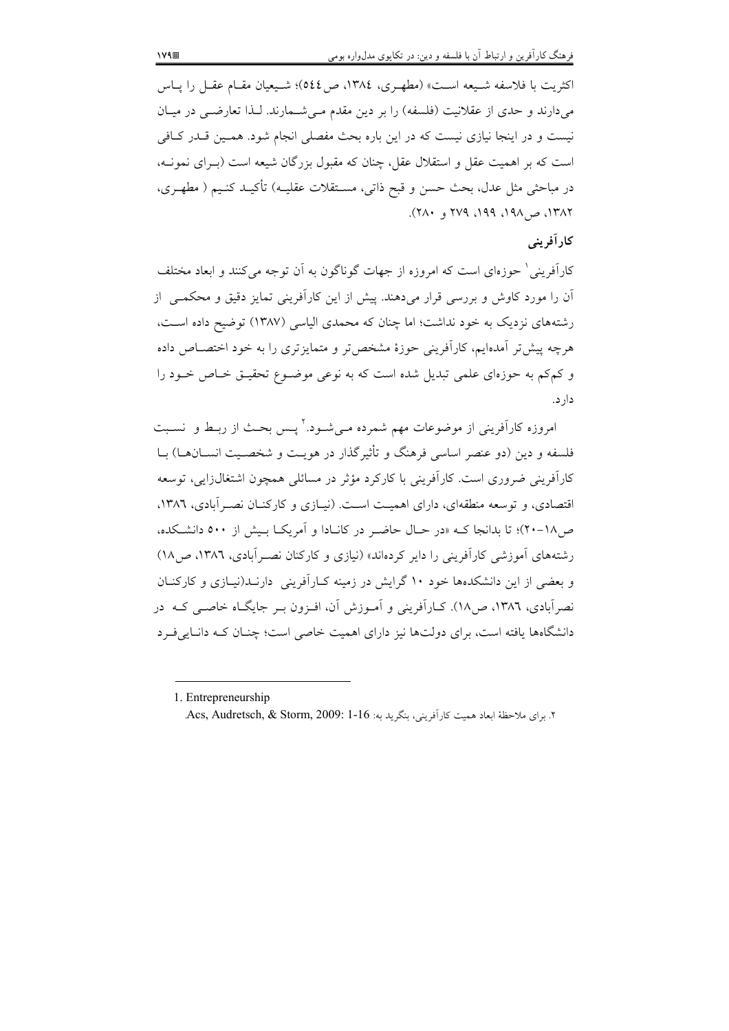اكثريت با فلاسفه شـيعه اسـت» (مطهـرى، ١٣٨٤، ص٥٤٤)؛ شـيعيان مقـام عقـل را پـاس میدارند و حدی از عقلانیت (فلسفه) را بر دین مقدم مـیشـمارند. لـذا تعارضـی در میـان نیست و در اینجا نیازی نیست که در این باره بحث مفصلی انجام شود. همـین قــدر کــافی است که بر اهمیت عقل و استقلال عقل، چنان که مقبول بزرگان شیعه است (بـرای نمونــه، در مباحثي مثل عدل، بحث حسن و قبح ذاتي، مســتقلات عقليــه) تأكيــد كنــيم ( مطهــري،  $YAY$ ,  $\alpha$ ,  $AP$  ,  $PP$ ,  $PVY$ ,  $\alpha$ ,  $YY$ 

# كار آفريني

کارآفرینی ٔ حوزمای است که امروزه از جهات گوناگون به آن توجه می کنند و ابعاد مختلف آن را مورد کاوش و بررسی قرار می،دهند. پیش از این کارآفرینی تمایز دقیق و محکمــی از رشتههای نزدیک به خود نداشت؛ اما چنان که محمدی الیاسی (۱۳۸۷) توضیح داده است، هرچه پیش تر آمدهایم، کارآفرینی حوزهٔ مشخص تر و متمایز تری را به خود اختصـاص داده و کمکم به حوزمای علمی تبدیل شده است که به نوعی موضوع تحقیـق خـاص خـود را دار د.

امروزه کارآفرینی از موضوعات مهم شمرده مـی شـود.<sup>۲</sup>یـس بحـث از ربـط و نسـبت فلسفه و دين (دو عنصر اساسي فرهنگ و تأثيرگذار در هويـت و شخصـيت انســانهــا) بــا کارآفرینی ضروری است. کارآفرینی با کارکرد مؤثر در مسائلی همچون اشتغالزایی، توسعه اقتصادی، و توسعه منطقهای، دارای اهمیت است. (نیپازی و کارکنبان نصبر آبادی، ۱۳۸۶، ص/١٨-٢٠)؛ تا بدانجا كـه «در حـال حاضـر در كانـادا و آمريكــا بـيش از ٥٠٠ دانشــكده، رشتههای آموزشی کارآفرینی را دایر کردهاند» (نیازی و کارکنان نصـر آبادی، ۱۳۸۲، ص۱۸) و بعضی از این دانشکدهها خود ۱۰ گرایش در زمینه کـارآفرینی دارنـد(نیـازی و کارکنــان نصرآبادی، ۱۳۸٦، ص۱۸). کــاراَفرینی و اَمــوزش اَن، افــزون بــر جایگــاه خاصــی کــه در دانشگاهها یافته است، برای دولتها نیز دارای اهمیت خاصی است؛ چنان کـه دانـاییفـرد

<sup>1.</sup> Entrepreneurship

۲. برای ملاحظهٔ ابعاد همیت کارآفرینی، بنگرید به: Acs, Audretsch, & Storm, 2009: 1-16.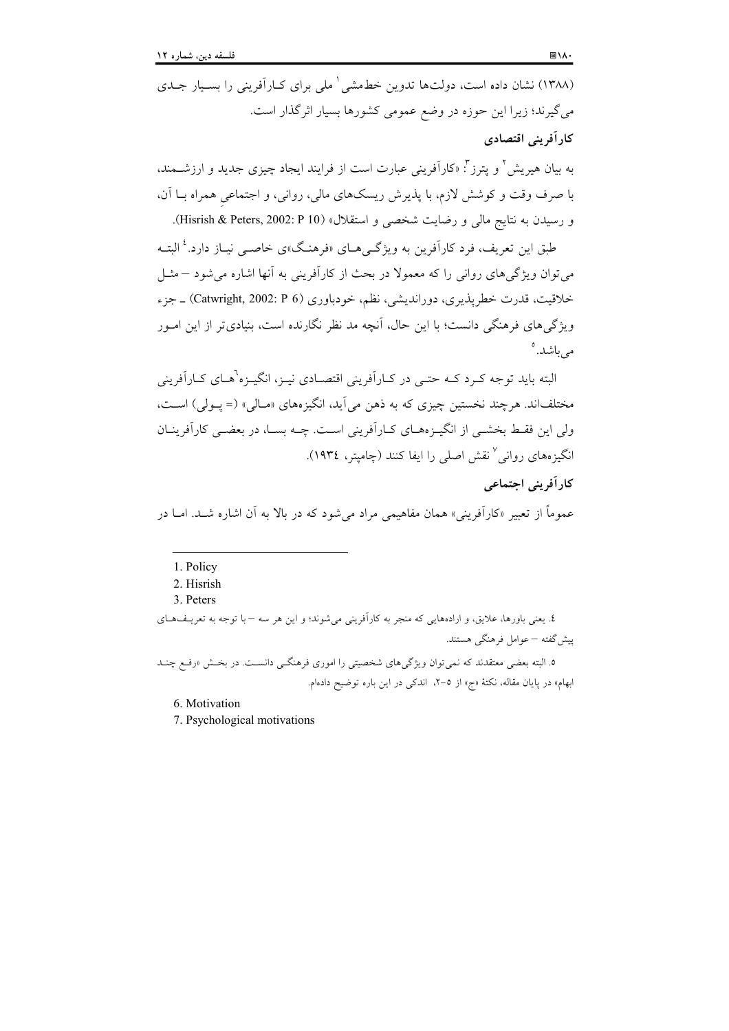(۱۳۸۸) نشان داده است، دولتها تدوین خطمشی هلی برای کـارآفرینی را بسـیار جـدی میگیرند؛ زیرا این حوزه در وضع عمومی کشورها بسیار اثرگذار است. کار آفرینی اقتصادی

به بیان هیریش<sup>۲</sup> و پترز<sup>۳</sup>: «کاراَفرینی عبارت است از فرایند ایجاد چیزی جدید و ارزشــمند، با صرف وقت و کوشش لازم، با پذیرش ریسکهای مالی، روانی، و اجتماعی همراه بــا آن، و رسيدن به نتايج مالي و رضايت شخصي و استقلال» (Hisrish & Peters, 2002: P 10).

طبق این تعریف، فرد کارآفرین به ویژگی هیای «فرهنگ»ی خاصبی نبیاز دارد.<sup>؛</sup> البتیه می توان ویژگی های روانی را که معمولا در بحث از کارآفرینی به آنها اشاره می شود – مثـل خلاقیت، قدرت خطرپذیری، دوراندیشی، نظم، خودباوری (Catwright, 2002: P 6) ـ جزء ویژگی های فرهنگی دانست؛ با این حال، آنچه مد نظر نگارنده است، بنیادیتر از این امــور می باشد.°

البته باید توجه کـرد کـه حتـی در کـاراَفرینی اقتصـادی نیـز، انگیـزه'هـای کـاراَفرینی مختلفاند. هرچند نخستین چیزی که به ذهن می آید، انگیزههای «مـالی» (= پـولی) اسـت، ولی این فقـط بخشـی از انگیـزههـای کـاراَفرینی اسـت. چـه بسـا، در بعضـی کاراَفرینـان انگیزههای روانی ٌ نقش اصلی را ایفا کنند (چامیتر، ۱۹۳٤).

## کار آفرینی اجتماعی

عموماً از تعبیر «کاراَفرینی» همان مفاهیمی مراد می شود که در بالا به اَن اشاره شــد. امــا در

٤. يعني باورها، علايق، و ارادههايي كه منجر به كارآفريني مي شوند؛ و اين هر سه –با توجه به تعريـفهـاي پیش گفته – عوامل فرهنگی هستند.

۵. البته بعضی معتقدند که نمی توان ویژگیهای شخصیتی را اموری فرهنگـی دانسـت. در بخـش «رفـع چنـد ابهام» در پایان مقاله، نکتهٔ «ج» از ٥-٢، اندکی در این باره توضیح دادهام.

6. Motivation

7. Psychological motivations

<sup>1.</sup> Policy

<sup>2.</sup> Hisrish

<sup>3.</sup> Peters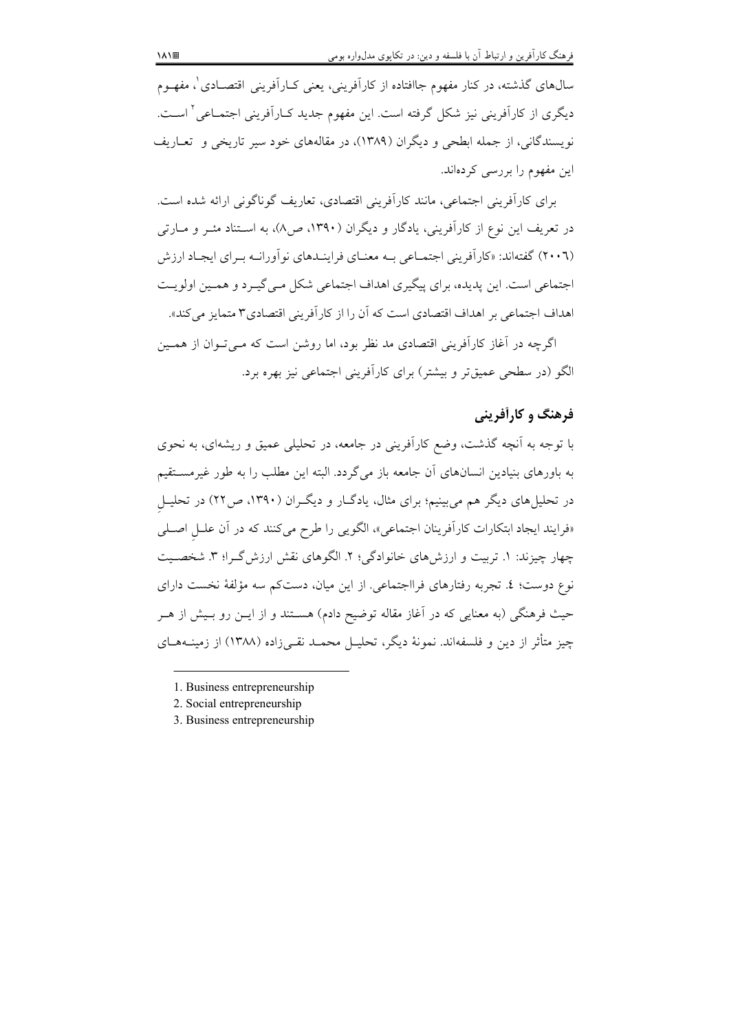سال@ای گذشته، در کنار مفهوم جاافتاده از کارآفرینی، یعنی کـارآفرینی اقتصــادی ٰ، مفهــوم دیگری از کارآفرینی نیز شکل گرفته است. این مفهوم جدید کـارآفرینی اجتمـاعی ٔ اسـت. نویسندگانی، از جمله ابطحی و دیگران (۱۳۸۹)، در مقالههای خود سیر تاریخی و تعــاریف این مفهوم را بررسی کردهاند.

برای کارآفرینی اجتماعی، مانند کارآفرینی اقتصادی، تعاریف گوناگونی ارائه شده است. در تعریف این نوع از کارآفرینی، یادگار و دیگران (۱۳۹۰، ص۸)، به اسـتناد مئــر و مــارتی (۲۰۰٦) گفتهاند: «کارآفرینی اجتمـاعی بـه معنـای فراینـدهای نوآورانـه بـرای ایجـاد ارزش اجتماعی است. این پدیده، برای پیگیری اهداف اجتماعی شکل مے گیـرد و همـین اولویـت اهداف اجتماعی بر اهداف اقتصادی است که آن را از کارآفرینی اقتصادی۳ متمایز می کند».

اگرچه در آغاز کارآفرینی اقتصادی مد نظر بود، اما روشن است که مـی تـوان از همـین الگو (در سطحی عمیقتر و بیشتر) برای کارآفرینی اجتماعی نیز بهره برد.

# فرهنگ و کارأفريني

با توجه به آنچه گذشت، وضع کارآفرینی در جامعه، در تحلیلی عمیق و ریشهای، به نحوی به باورهای بنیادین انسانهای آن جامعه باز میگردد. البته این مطلب را به طور غیرمسـتقیم در تحلیل های دیگر هم می بینیم؛ برای مثال، یادگ(ر و دیگران (۱۳۹۰، ص۲۲) در تحلیـل «فرایند ایجاد ابتکارات کارآفرینان اجتماعی»، الگویی را طرح میکنند که در آن علـل اصـلی چهار چیزند: ۱. تربیت و ارزش های خانوادگی؛ ۲. الگوهای نقش ارزش گـرا؛ ۳. شخصـیت نوع دوست؛ ٤. تجربه رفتارهاي فرااجتماعي. از اين ميان، دستكم سه مؤلفة نخست داراي حيث فرهنگي (به معنايي كه در آغاز مقاله توضيح دادم) هســتند و از ايــن رو بــيش از هــر چیز متأثر از دین و فلسفهاند. نمونهٔ دیگر، تحلیـل محمـد نقـبی(ده (۱۳۸۸) از زمینــههــای

<sup>1.</sup> Business entrepreneurship

<sup>2.</sup> Social entrepreneurship

<sup>3.</sup> Business entrepreneurship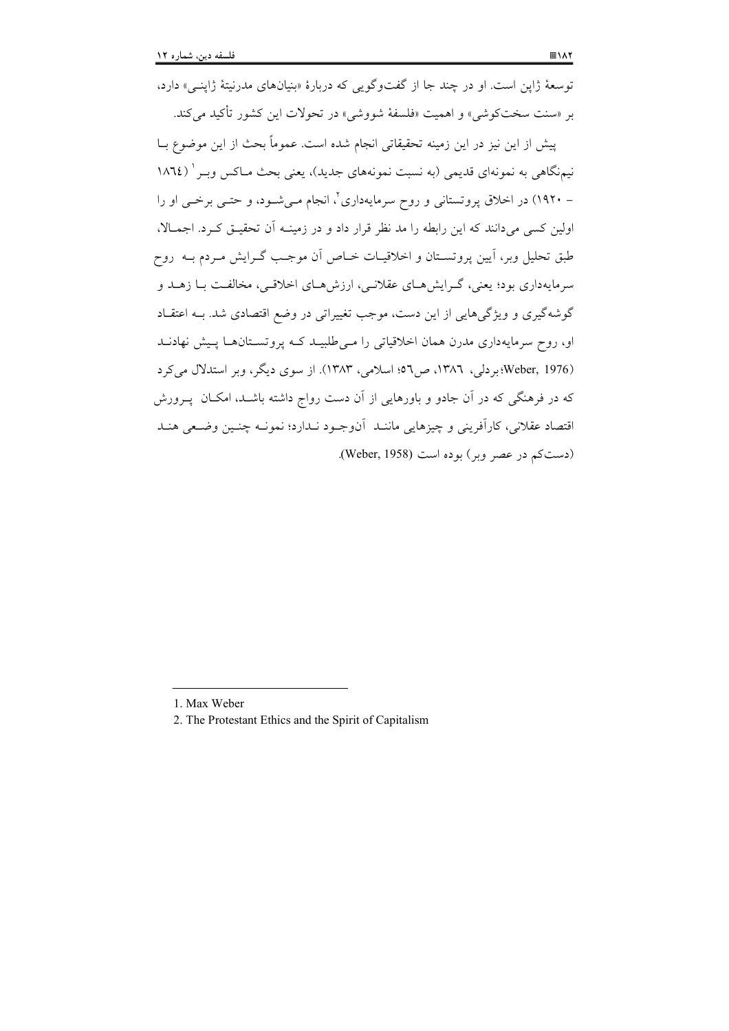توسعهٔ ژاپن است. او در چند جا از گفتوگویی که دربارهٔ «بنیانهای مدرنیتهٔ ژاپنبی» دارد، بر «سنت سختکوشی» و اهمیت «فلسفهٔ شووشی» در تحولات این کشور تأکید می کند.

ييش از اين نيز در اين زمينه تحقيقاتي انجام شده است. عموماً بحث از اين موضوع بــا نیمنگاهی به نمونهای قدیمی (به نسبت نمونههای جدید)، یعنی بحث مـاکس وبـر ( ١٨٦٤ – ۱۹۲۰) در اخلاق پروتستانی و روح سرمایهداری ٔ، انجام مے شـود، و حتـی برخـی او را اولین کسی می دانند که این رابطه را مد نظر قرار داد و در زمینــه آن تحقیــق کــرد. اجمــالا، طبق تحلیل وبر، آیین پروتسـتان و اخلاقیـات خــاص آن موجـب گــرایش مــردم بــه روح سرمایهداری بود؛ یعنی، گـرایش هـای عقلانـی، ارزش هـای اخلاقـی، مخالفـت بـا زهــد و گوشهگیری و ویژگیهایی از این دست، موجب تغییراتی در وضع اقتصادی شد. بـه اعتقـاد او، روح سرمایهداری مدرن همان اخلاقیاتی را مبی طلبیـد کـه پروتسـتانهـا پـیش نهادنـد (Weber, 1976؛ بر دلی، ١٣٨٦، ص٦٥: اسلامی، ١٣٨٣). از سوی دیگر، وبر استدلال می کرد که در فرهنگی که در آن جادو و باورهایی از آن دست رواج داشته باشــد، امکــان پــرورش اقتصاد عقلاني، كارآفريني و چيزهايي ماننـد آنوجـود نـدارد؛ نمونـه چنـين وضـعي هنـد (دست کم در عصر ویر) بوده است (Weber, 1958).

<sup>1.</sup> Max Weber

<sup>2.</sup> The Protestant Ethics and the Spirit of Capitalism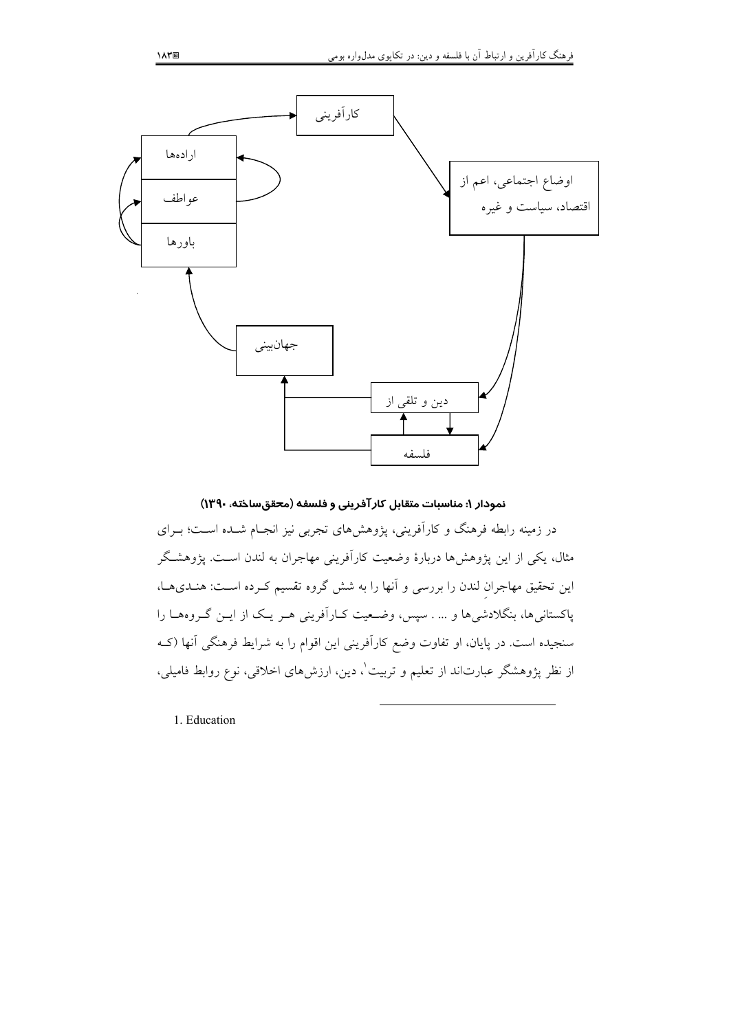

نمودار ۱: مناسبات متقابل كارآفريني و فلسفه (محققساخته، ۱۳۹۰) در زمینه رابطه فرهنگ و کارآفرینی، پژوهشهای تجربی نیز انجـام شـده اسـت؛ بـرای مثال، یکی از این پژوهشها دربارهٔ وضعیت کارآفرینی مهاجران به لندن اسـت. پژوهشـگر این تحقیق مهاجران لندن را بررسی و آنها را به شش گروه تقسیم کـرده اسـت: هـنـدیهـا، پاکستانی ها، بنگلادشی ها و … . سپس، وضعیت کـارآفرینی هـر یـک از ایـن گـروههـا را سنجیده است. در پایان، او تفاوت وضع کارآفرینی این اقوام را به شرایط فرهنگی آنها (کـه از نظر پژوهشگر عبارتاند از تعلیم و تربیت ْ، دین، ارزشهای اخلاقی، نوع روابط فامیلی،

1. Education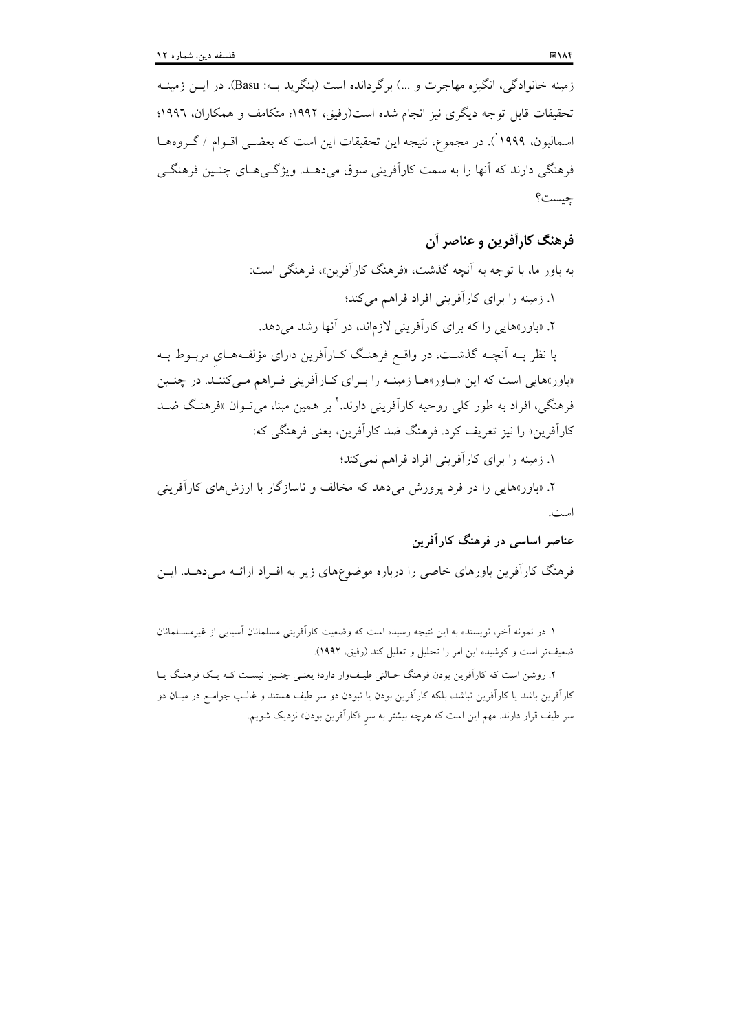فرهنگی دارند که آنها را به سمت کارآفرینی سوق میدهـد. ویژگـی هـای چنـین فرهنگـی چيست؟

# فرهنگ کارآفرین و عناصر آن

به باور ما، با توجه به آنچه گذشت، «فرهنگ کارآفرین»، فرهنگی است: ١. زمینه را برای کارآفرینی افراد فراهم می کند؛ ۲. «باور»هایی را که برای کارآفرینی لازماند، در آنها رشد میدهد. با نظر بــه اَنچــه گذشــت، در واقــع فرهنـگ کــاراَفرين داراي مؤلفــههــاي مربــوط بــه «باور»هایی است که این «بـاور»هـا زمینـه را بـرای کـارآفرینی فـراهم مـیکننـد. در چنـین فرهنگی، افراد به طور کلی روحیه کارآفرینی دارند. <sup>۲</sup> بر همین مبنا، می تــوان «فرهنـگ ضــد کارآفرین» را نیز تعریف کرد. فرهنگ ضد کارآفرین، یعنی فرهنگی که:

١. زمینه را برای کار آفرینی افراد فراهم نمی کند؛

۲. «باور»هایی را در فرد پرورش میدهد که مخالف و ناسازگار با ارزشهای کارآفرینی است.

# عناصر اساسی در فرهنگ کارآفرین

فرهنگ کارآفرین باورهای خاصی را درباره موضوعهای زیر به افـراد ارائـه مـیدهــد. ایــن

١. در نمونه أخر، نویسنده به این نتیجه رسیده است که وضعیت کاراّفرینی مسلمانان اسپایی از غیرمسـلمانان ضعيفتر است و كوشيده اين امر را تحليل و تعليل كند (رفيق، ١٩٩٢).

۲. روشن است که کارآفرین بودن فرهنگ حـالتی طیـفوار دارد؛ یعنـی چنـین نیسـت کـه یـک فرهنـگ یـا کارآفرین باشد یا کارآفرین نباشد، بلکه کارآفرین بودن یا نبودن دو سر طیف هستند و غالـب جوامـع در میـان دو سر طیف قرار دارند. مهم این است که هرچه بیشتر به سر «کارآفرین بودن» نزدیک شویم.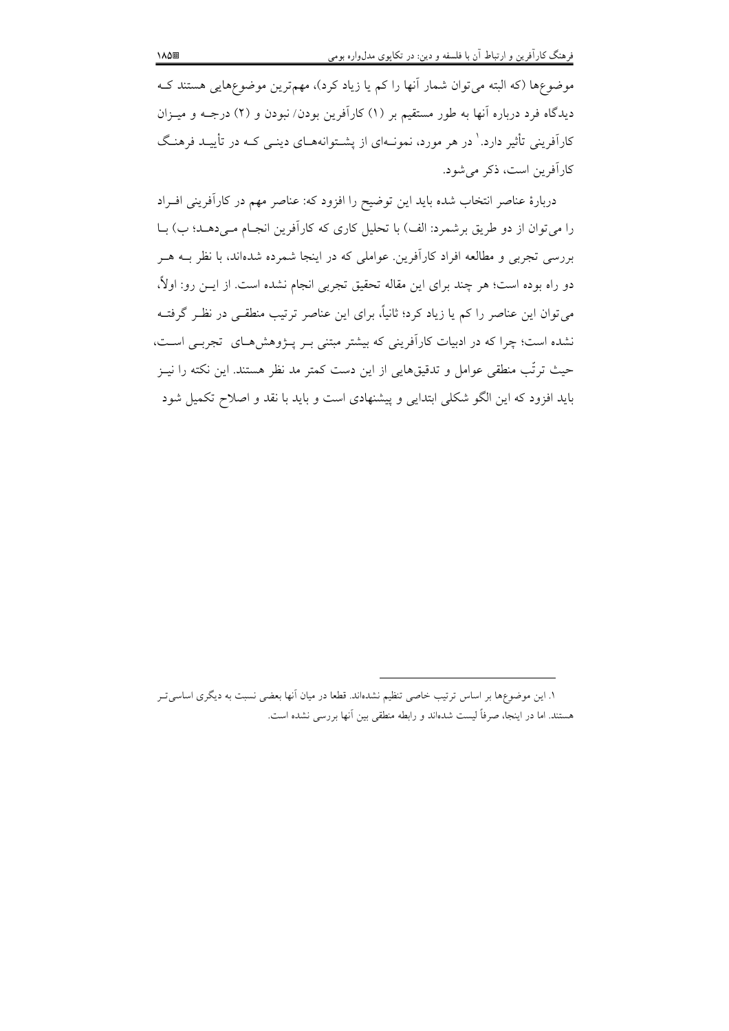موضوعِها (که البته میتوان شمار آنها را کم یا زیاد کرد)، مهمترین موضوعِهایی هستند ک دیدگاه فرد درباره آنها به طور مستقیم بر (۱) کارآفرین بودن/ نبودن و (۲) درجـه و میــزان کارآفرینی تأثیر دارد.' در هر مورد، نمونــهای از پشــتوانههــای دینــی کــه در تأییــد فرهنـگ كارآفرين است، ذكر مي شود.

دربارهٔ عناصر انتخاب شده باید این توضیح را افزود که: عناصر مهم در کارآفرینی افـراد را می توان از دو طریق برشمرد: الف) با تحلیل کاری که کارآفرین انجـام مـی(دهـد؛ ب) بـا بررسی تجربی و مطالعه افراد کارآفرین. عواملی که در اینجا شمرده شدهاند، با نظر بــه هــر دو راه بوده است؛ هر چند برای این مقاله تحقیق تجربی انجام نشده است. از ایــن رو: اولاً، میتوان این عناصر را کم یا زیاد کرد؛ ثانیاً، برای این عناصر ترتیب منطقــی در نظـر گرفتــه نشده است؛ چرا که در ادبیات کارآفرینی که بیشتر مبتنی بـر پـژوهشهـای تجربـی اسـت، حیث ترتّب منطقی عوامل و تدقیقهایی از این دست کمتر مد نظر هستند. این نکته را نیــز باید افزود که این الگو شکلی ابتدایی و پیشنهادی است و باید با نقد و اصلاح تکمیل شود

١. اين موضوعها بر اساس ترتيب خاصي تنظيم نشدهاند. قطعا در ميان أنها بعضي نسبت به ديگري اساسي تـر هستند. اما در اینجا، صرفاً لیست شدهاند و رابطه منطقی بین اّنها بررسی نشده است.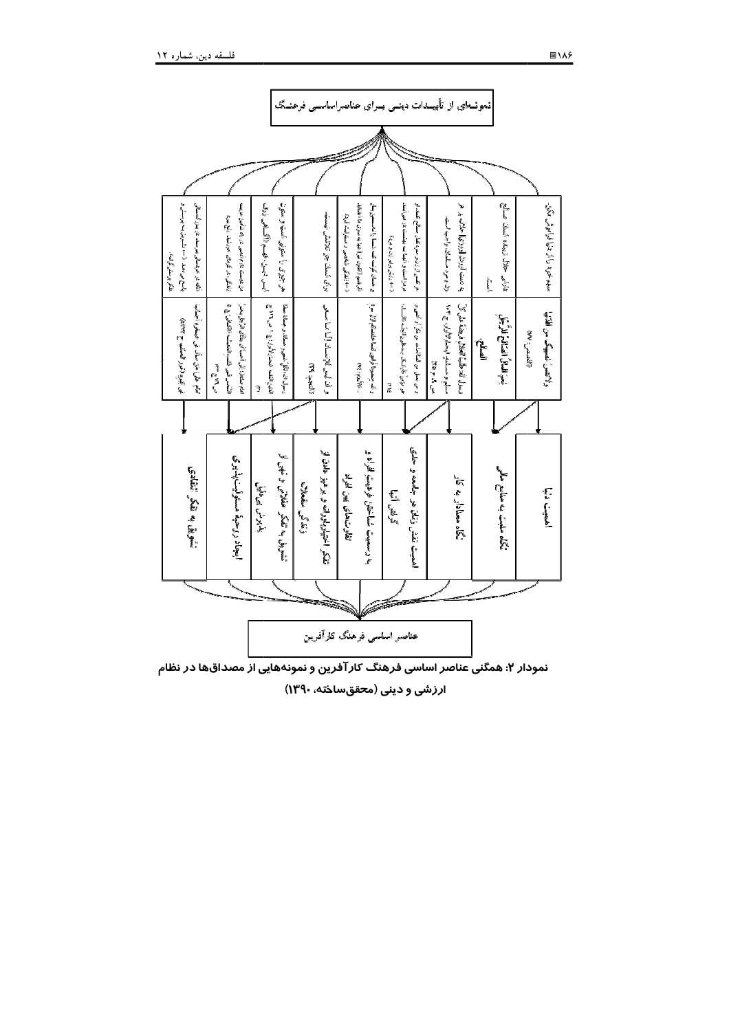

نمودار ۲: همگنی عناصر اساسی فرهنگ کارآفرین و نمونههایی از مصداقها در نظام

ارزشی و دینی (محققساخته، ۱۳۹۰)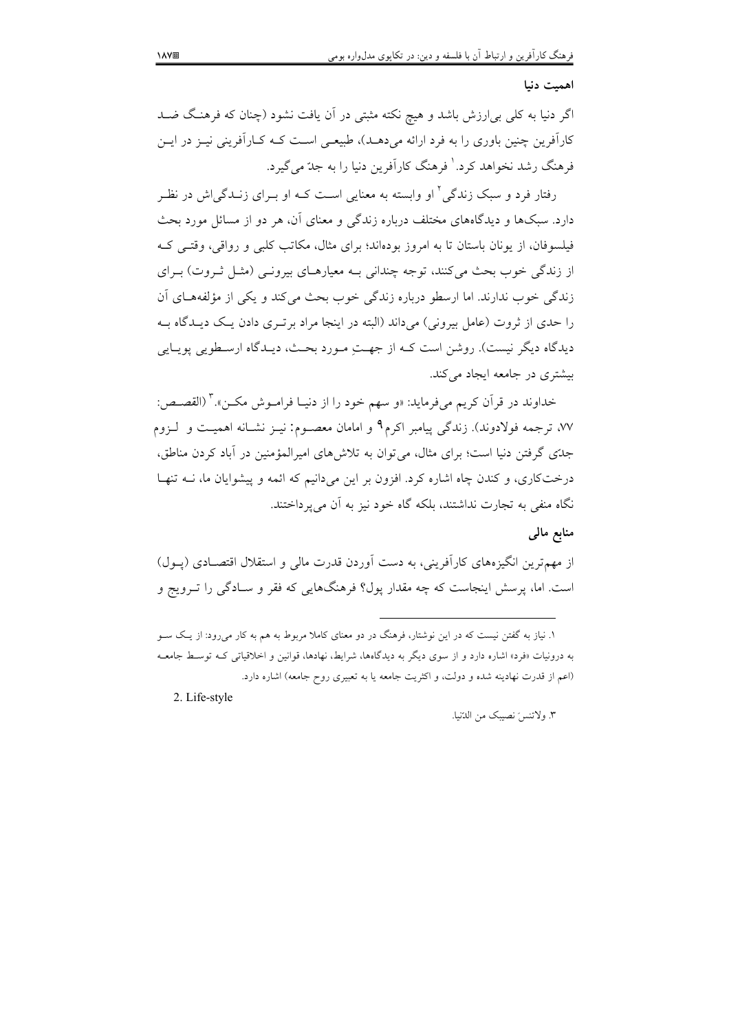#### اهميت دنيا

اگر دنیا به کلی بی|رزش باشد و هیچ نکته مثبتی در آن یافت نشود (چنان که فرهنگ ضـد کارآفرین چنین باوری را به فرد ارائه میدهـد)، طبیعـی اسـت کــه کــارآفرینی نیــز در ایــن فرهنگ رشد نخواهد کرد.' فرهنگ کارآفرین دنیا را به جدّ می گیرد.

رفتار فرد و سبک زندگی <sup>۲</sup> او وابسته به معنایی اسـت کــه او بــرای زنــدگی|ش در نظــر دارد. سبکها و دیدگاههای مختلف درباره زندگی و معنای آن، هر دو از مسائل مورد بحث فیلسوفان، از یونان باستان تا به امروز بودهاند؛ برای مثال، مکاتب کلبی و رواقی، وقتبی ک از زندگی خوب بحث می کنند، توجه چندانی بـه معبارهـای بیرونـی (مثـل ثـروت) بـرای زندگی خوب ندارند. اما ارسطو درباره زندگی خوب بحث می کند و یکی از مؤلفههبای آن را حدی از ثروت (عامل بیرونی) می داند (البته در اینجا مراد برتـری دادن یـک دیـدگاه بــه دیدگاه دیگر نیست). روشن است کـه از جهـتِ مـورد بحـث، دیـدگاه ارسـطویی پویـایی بیشتری در جامعه ایجاد می کند.

خداوند در قرآن کریم میفرماید: «و سهم خود را از دنیـا فرامـوش مکـن». ؓ (القصـص: ۷۷، ترجمه فولادوند). زندگی پیامبر اکرم۹ و امامان معصـوم: نیــز نشــانه اهمیــت و لــزوم جدّی گرفتن دنیا است؛ برای مثال، می توان به تلاش های امیرالمؤمنین در آباد کردن مناطق، درختکاری، و کندن چاه اشاره کرد. افزون بر این میدانیم که ائمه و پیشوایان ما، نــه تنهـا نگاه منفی به تجارت نداشتند، بلکه گاه خود نیز به آن می یرداختند.

## منابع مالمی

از مهم ترین انگیزههای کارآفرینی، به دست آوردن قدرت مالی و استقلال اقتصـادی (پـول) است. اما، پرسش اینجاست که چه مقدار یول؟ فرهنگهایی که فقر و سـادگی را تــرویج و

2. Life-style

٣. ولاتنسَ نصيبِک من الدّنيا.

۱. نیاز به گفتن نیست که در این نوشتار، فرهنگ در دو معنای کاملا مربوط به هم به کار میرود: از یک سـو به درونیات «فرد» اشاره دارد و از سوی دیگر به دیدگاهها، شرایط، نهادها، قوانین و اخلاقیاتی کـه توسـط جامعـه (اعم از قدرت نهادینه شده و دولت، و اکثریت جامعه یا به تعبیری روح جامعه) اشاره دارد.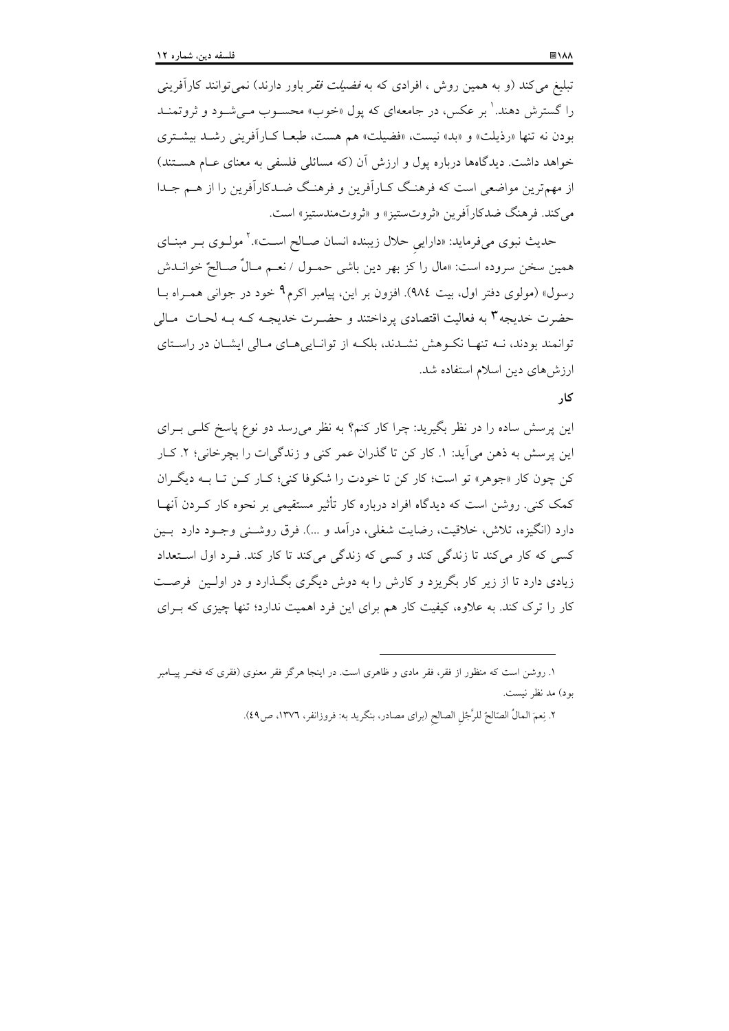تبلیغ میکند (و به همین روش ، افرادی که به *فضیلت فقر* باور دارند) نمی توانند کارآفرینی را گسترش دهند.' بر عکس، در جامعهای که پول «خوب» محسـوب مـیشـود و ثروتمنــد بودن نه تنها «رذيلت» و «بد» نيست، «فضيلت» هم هست، طبعـا كـارآفريني رشـد بيشـتري خواهد داشت. دیدگاهها درباره یول و ارزش آن (که مسائلی فلسفی به معنای عـام هسـتند) از مهمترین مواضعی است که فرهنگ کـارآفرین و فرهنگ ضـدکارآفرین را از هــم جـدا مي كند. فرهنگ ضدكارآفرين «ثروتستيز» و «ثروتمندستيز» است.

حدیث نبوی میفرماید: «دارایی حلال زیبنده انسان صـالح اسـت».<sup>۲</sup> مولــوی بــر مبنــای همین سخن سروده است: «مال را کز بهر دین باشی حمـول / نعـم مـالٌ صـالحٌ خوانــدش رسول» (مولوی دفتر اول، بیت ٩٨٤). افزون بر این، پیامبر اکرم۹ خود در جوانی همـراه بــا حضرت خدیجه۳ به فعالیت اقتصادی پرداختند و حضـرت خدیجـه کـه بـه لحـات مـالی توانمند بودند، نـه تنهـا نكـوهش نشـدند، بلكـه از توانـايىهـاى مـالى ايشـان در راسـتاى ارزش های دین اسلام استفاده شد.

## کا,

این پرسش ساده را در نظر بگیرید: چرا کار کنم؟ به نظر می رسد دو نوع پاسخ کلـی بـرای این پرسش به ذهن می آید: ۱. کار کن تا گذران عمر کنی و زندگیات را بچرخانی؛ ۲. کـار کن چون کار «جوهر» تو است؛ کار کن تا خودت را شکوفا کنی؛ کـار کـن تـا بــه دیگـران کمک کنی. روشن است که دیدگاه افراد درباره کار تأثیر مستقیمی بر نحوه کار کـردن آنهـا دارد (انگیزه، تلاش، خلاقیت، رضایت شغلی، درآمد و …). فرق روشـنی وجـود دارد بـین کسی که کار می کند تا زندگی کند و کسی که زندگی می کند تا کار کند. ف د اول استعداد زیادی دارد تا از زیر کار بگریزد و کارش را به دوش دیگری بگـذارد و در اولـین فرصـت کار را ترک کند. به علاوه، کیفیت کار هم برای این فرد اهمیت ندارد؛ تنها چیزی که بـرای

۱. روشن است که منظور از فقر، فقر مادی و ظاهری است. در اینجا هرگز فقر معنوی (فقری که فخـر پیــامبر بود) مد نظر نيست.

٢. نِعمَ المالُ الصّالحُ للرَّجُلِ الصالحِ (براي مصادر، بنگريد به: فروزانفر، ١٣٧٦، ص٤٩).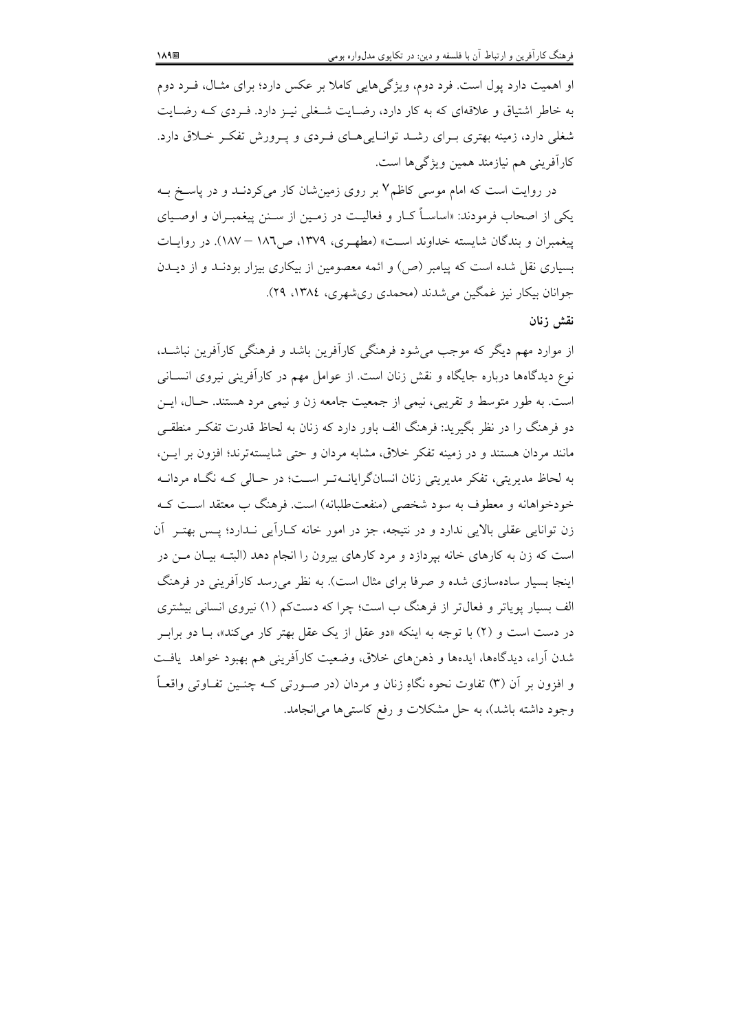او اهمیت دارد پول است. فرد دوم، ویژگیهایی کاملا بر عکس دارد؛ برای مثـال، فـرد دوم به خاطر اشتیاق و علاقهای که به کار دارد، رضـایت شـغلی نیـز دارد. فـردی کـه رضـایت شغلی دارد، زمینه بهتری بـرای رشـد توانـاییهـای فـردی و پـرورش تفکـر خـلاق دارد. كارآفريني هم نيازمند همين ويژگيها است.

در روایت است که امام موسی کاظم۷ بر روی زمینشان کار میکردنــد و در پاســخ بــه یکم از اصحاب فرمودند: «اساسـاً کــار و فعالیــت در زمــین از ســنن پیغمبــران و اوصــیای پیغمبران و بندگان شایسته خداوند است» (مطهری، ۱۳۷۹، ص۱۸۲ – ۱۸۷). در روایـات بسیاری نقل شده است که پیامبر (ص) و ائمه معصومین از بیکاری بیزار بودنـد و از دیــدن جوانان بیکار نیز غمگین می شدند (محمدی ریشهری، ۱۳۸٤، ۲۹).

## نقش زنان

از موارد مهم دیگر که موجب میشود فرهنگی کارآفرین باشد و فرهنگی کارآفرین نباشـد، نوع دیدگاهها درباره جایگاه و نقش زنان است. از عوامل مهم در کارآفرینی نیروی انســانی است. به طور متوسط و تقریبی، نیمی از جمعیت جامعه زن و نیمی مرد هستند. حـال، ایـن دو فرهنگ را در نظر بگیرید: فرهنگ الف باور دارد که زنان به لحاظ قدرت تفک منطقـی مانند مردان هستند و در زمینه تفکر خلاق، مشابه مردان و حتی شایستهترند؛ افزون بر ایـن، به لحاظ مدیریتی، تفکر مدیریتی زنان انسانگرایانــهتـر اسـت؛ در حـالی کــه نگــاه مردانــه خودخواهانه و معطوف به سود شخصی (منفعتطلبانه) است. فرهنگ ب معتقد است کـه زن توانایی عقلی بالایی ندارد و در نتیجه، جز در امور خانه کــاراَیی نــدارد؛ پــس بهتـر آن است که زن به کارهای خانه بیردازد و مرد کارهای بیرون را انجام دهد (البتـه بیـان مــن در اینجا بسیار سادهسازی شده و صرفا برای مثال است). به نظر می رسد کارآفرینی در فرهنگ الف بسیار یویاتر و فعال تر از فرهنگ ب است؛ چرا که دستکم (۱) نیروی انسانی بیشتری در دست است و (۲) با توجه به اینکه «دو عقل از یک عقل بهتر کار میکند»، بـا دو برابـر شدن آراء، دیدگاهها، ایدهها و ذهنِ های خلاق، وضعیت کارآفرینی هم بهبود خواهد یافت و افزون بر آن (٣) تفاوت نحوه نگاهِ زنان و مردان (در صـورتی کــه چنــین تفــاوتی واقعــاً وجود داشته باشد)، به حل مشکلات و رفع کاستی ها می انجامد.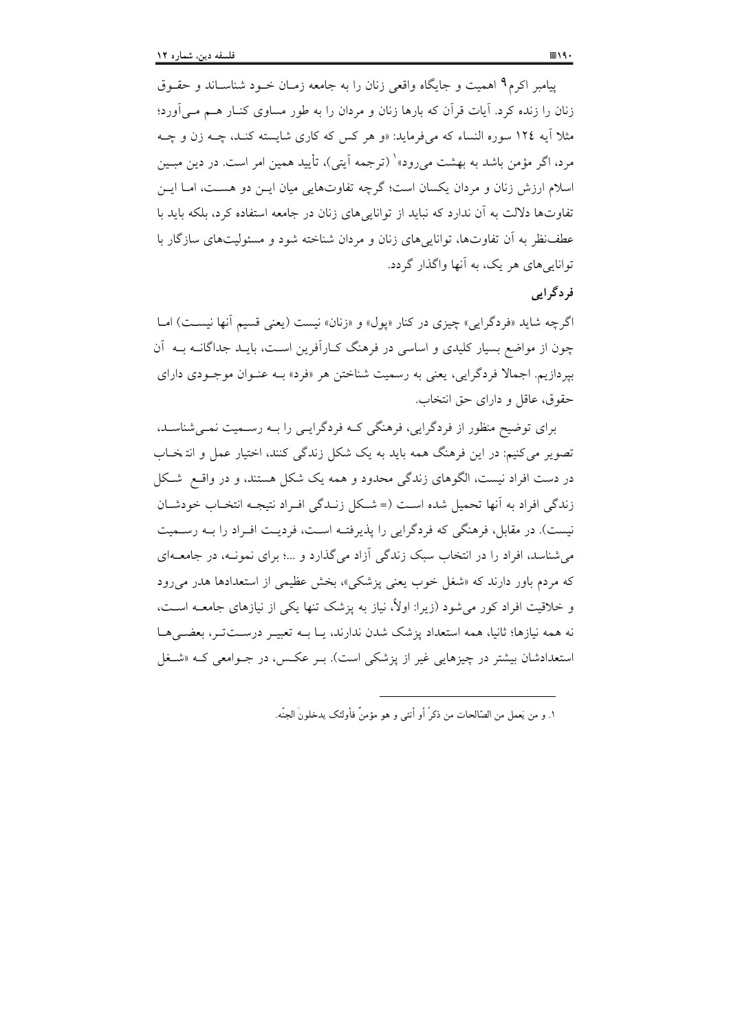پیامبر اکرم<sup>۹</sup> اهمیت و جایگاه واقعی زنان را به جامعه زمـان خــود شناسـاند و حقــوق زنان را زنده کرد. آیات قرآن که بارها زنان و مردان را به طور مساوی کنـار هــم مــی|ورد؛ مثلاً آیه ١٢٤ سوره النساء که میفرماید: «و هر کس که کاری شایسته کنـد، چــه زن و چــه مرد، اگر مؤمن باشد به بهشت می رود»' (ترجمه آیتی)، تأیید همین امر است. در دین مبـین اسلام ارزش زنان و مردان یکسان است؛ گرچه تفاوتهایی میان ایــن دو هســت، امــا ایــن تفاوتها دلالت به آن ندارد که نباید از توانایی های زنان در جامعه استفاده کرد، بلکه باید با عطف نظر به آن تفاوتها، توانایی های زنان و مردان شناخته شود و مسئولیتهای سازگار با توانایے های هر یک، په آنها واگذار گردد.

## فر د گر اہے

اگرچه شايد «فردگرايي» چيزي در كنار «يول» و «زنان» نيست (يعني قسيم آنها نيست) امــا چون از مواضع بسیار کلیدی و اساسی در فرهنگ کــارآفرین اســت، بایــد جداگانــه بــه آن بیردازیم. اجمالا فردگرایی، یعنی به رسمیت شناختن هر «فرد» بــه عنــوان موجــودی دارای حقوق، عاقل و داراي حق انتخاب.

برای توضیح منظور از فردگرایی، فرهنگی کـه فردگرایـی را بـه رسـمیت نمـیشناسـد. تصویر می کنیم: در این فرهنگ همه باید به یک شکل زندگی کنند، اختیار عمل و انتخاب در دست افراد نیست، الگوهای زندگی محدود و همه یک شکل هستند، و در واقــع شــکل زندگی افراد به آنها تحمیل شده است (= شبکل زنیدگی افیراد نتیجیه انتخباب خودشیان نیست). در مقابل، فرهنگی که فردگرایی را پذیرفتـه اسـت، فردیـت افــراد را بــه رســمیت می شناسد، افراد را در انتخاب سبک زندگی آزاد می گذارد و …؛ برای نمونـه، در جامعــهای که مردم باور دارند که «شغل خوب یعنی پزشکی»، بخش عظیمی از استعدادها هدر می رود و خلاقیت افراد کور می شود (زیرا: اولاً، نیاز به پزشک تنها یکی از نیازهای جامعــه اســت، نه همه نیازها؛ ثانیا، همه استعداد پزشک شدن ندارند، یـا بــه تعبیــر درســتتــر، بعضــیهــا استعدادشان بیشتر در چیزهایی غیر از یزشکی است). بـر عکـس، در جـوامعی کـه «شـغل

١. و من يَعمل من الصّالحات من ذكرٌ أو أنثى و هو مؤمنٌ فأولئك يدخلونَ الجنّه.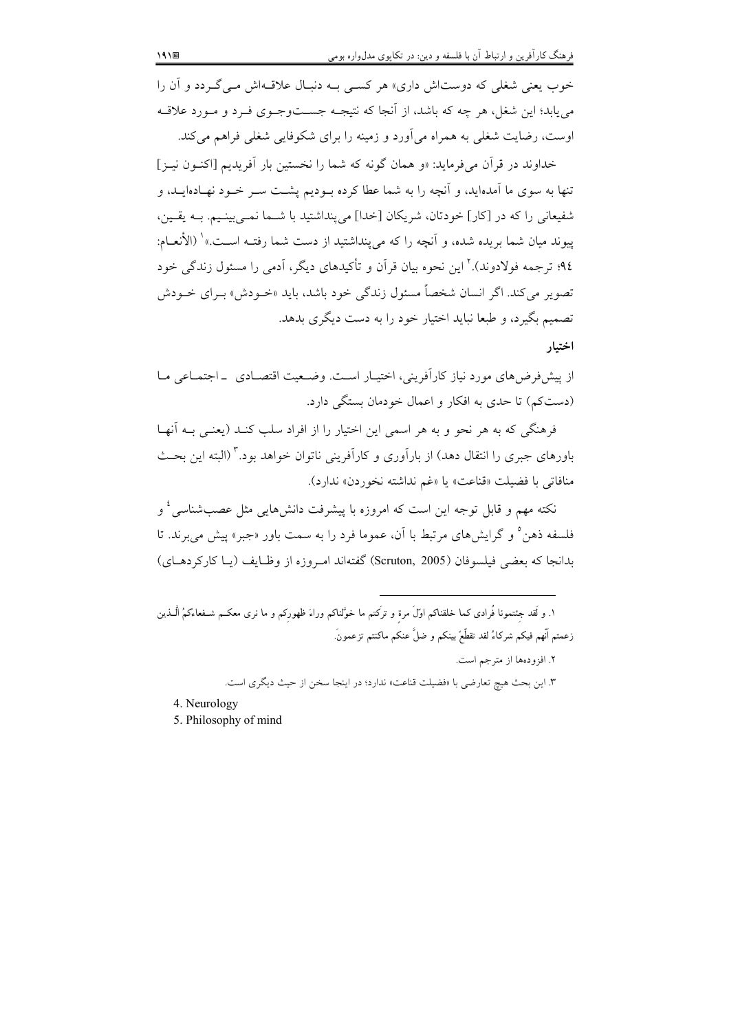خوب یعنی شغلی که دوستاش داری» هر کسبی بـه دنبـال علاقـهاش مـی گـردد و آن را می یابد؛ این شغل، هر چه که باشد، از اّنجا که نتیجــه جســتوجــوی فــرد و مــورد علاقــه اوست، رضایت شغلی به همراه میآورد و زمینه را برای شکوفایی شغلی فراهم میکند.

خداوند در قرأن مي فرمايد: «و همان گونه كه شما را نخستين بار أفريديم [اكنـون نيـز] تنها به سوی ما آمدهاید، و آنچه را به شما عطا کرده بــودیم پشــت ســر خــود نهــادهایــد، و شفیعانی را که در [کار] خودتان، شریکان [خدا] می پنداشتید با شــما نمــی بینـیم. بــه یقـین، ييوند ميان شما بريده شده، و آنچه را كه مي ينداشتيد از دست شما رفتــه اســت.» ْ (الأنعــام: ۹٤؛ ترجمه فولادوند).' این نحوه بیان قرآن و تأکیدهای دیگر، آدمی را مسئول زندگی خود ۔<br>تصویر میں کند. اگر انسان شخصاً مسئول زندگی خود باشد، باید «خـودش» بـرای خـودش تصمیم بگیرد، و طبعا نباید اختیار خود را به دست دیگری بدهد. اختيار

از پیش فرض های مورد نیاز کارآفرینی، اختیـار اسـت. وضـعیت اقتصـادی \_اجتمـاعی مـا (دست کم) تا حدی به افکار و اعمال خودمان بستگی دارد.

فرهنگی که به هر نحو و به هر اسمی این اختیار را از افراد سلب کنـد (یعنـی بـه آنهـا باورهای جبری را انتقال دهد) از بارآوری و کارآفرینی ناتوان خواهد بود.<sup>۳</sup> (البته این بحث منافاتي با فضبلت «قناعت» يا «غم نداشته نخوردن» ندارد).

نکته مهم و قابل توجه این است که امروزه با پیشرفت دانشهایی مثل عصبشناسی <sup>؛</sup> و فلسفه ذهن° و گرایشهای مرتبط با آن، عموما فرد را به سمت باور «جبر» پیش میبرند. تا بدانجا كه بعضي فيلسوفان (Scruton, 2005) گفتهاند امروزه از وظـايف (يـا كاركردهـاي)

|                        | ١. و لَقد جِئتمونا فُرادى كما خلقناكم اوّلَ مرةٍ و تركتم ما خوَّلناكم وراءَ ظهورِكم و ما نرى معكـم شـفعاءكمُ الّـذين |
|------------------------|----------------------------------------------------------------------------------------------------------------------|
|                        | ِعمتم اّنهم فيكم شركاءُ لقد تقطّعٌ بينكم و ضلٌّ عنكم ماكنتم تزعمونَ.                                                 |
|                        | ۲. افزودهها از مترجم است.                                                                                            |
|                        | ۳. این بحث هیچ تعارضی با «فضیلت قناعت» ندارد؛ در اینجا سخن از حیث دیگری است.                                         |
| محموله الموزوج اللاباء |                                                                                                                      |

4. Neurology

5. Philosophy of mind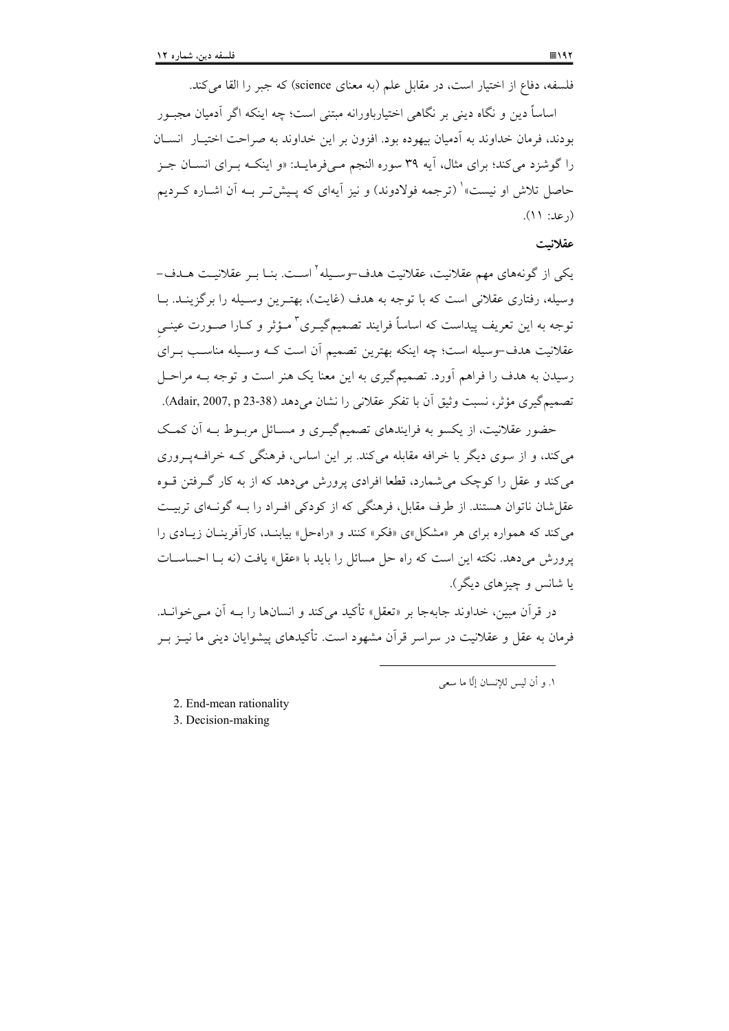فلسفه، دفاع از اختیار است، در مقابل علم (به معنای science) که جبر را القا می کند. اساساً دین و نگاه دینی بر نگاهی اختیارباورانه مبتنی است؛ چه اینکه اگر آدمیان مجبور بودند، فرمان خداوند به آدمیان بیهوده بود. افزون بر این خداوند به صراحت اختیـار انســان را گوشزد می کند؛ برای مثال، آیه ۳۹ سوره النجم مبی فرمایـد: «و اینکــه بــرای انســان جــز حاصل تلاش او نیست»` (ترجمه فولادوند) و نیز آیهای که پـیشتر بـه آن اشـاره کـردیم

#### عقلانيت

(رعد: ۱۱).

یکی از گونههای مهم عقلانیت، عقلانیت هدف-وسـیله<sup>۲</sup>اسـت. بنـا بـر عقلانیـت هــدف-وسیله، رفتاری عقلانی است که با توجه به هدف (غایت)، بهتـرین وسـیله را برگزینـد. بــا توجه به این تعریف پیداست که اساساً فرایند تصمیمگیـری<sup>۳</sup> مـؤثر و کـارا صـورت عینـی عقلانیت هدف-وسیله است؛ چه اینکه بهترین تصمیم آن است کـه وسـیله مناسـب بـرای رسیدن به هدف را فراهم آورد. تصمیمگیری به این معنا یک هنر است و توجه بــه مراحـل تصميم گيري مؤثر، نسبت وثيق أن با تفكر عقلاني را نشان مي دهد (38-23 Adair, 2007, p.

حضور عقلانیت، از یکسو به فرایندهای تصمیمگیـری و مسـائل مربـوط بـه اَن کمـک مي کند، و از سوي ديگر يا خرافه مقابله مي کند. پر اين اساس، فرهنگي کـه خرافـهيـروري می کند و عقل را کوچک می شمارد، قطعا افرادی پرورش می دهد که از به کار گرفتن قسوه عقل شان ناتوان هستند. از طرف مقابل، فرهنگی که از کودکی افـراد را بــه گونــهای تربیــت می کند که همواره برای هر «مشکل»ی «فکر» کنند و «راهحل» بیابنـد، کارآفرینـان زیـادی را يورش مي دهد. نكته اين است كه راه حل مسائل را بايد با «عقل» يافت (نه بــا احساســات یا شانس و چیزهای دیگر).

در قرآن مبین، خداوند جابهجا بر «تعقل» تأکید میکند و انسانها را بــه آن مــی خوانــد. فرمان به عقل و عقلانیت در سراسر قرآن مشهود است. تأکیدهای پیشوایان دینی ما نیــز بــر

١. و أن ليس للانسان إلَّا ما سعى

2. End-mean rationality

3. Decision-making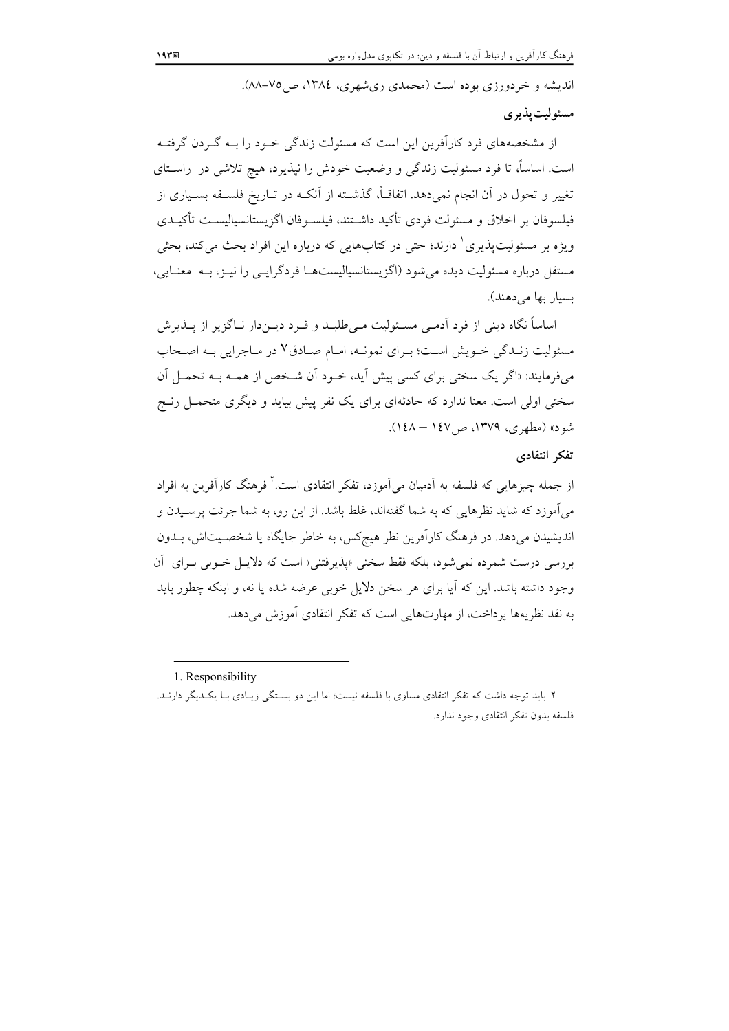اندیشه و خردورزی بوده است (محمدی ریشهری، ۱۳۸٤، ص۷۵–۸۸).

#### مسئوليت پذيري

از مشخصههای فرد کارآفرین این است که مسئولت زندگی خـود را بـه گـردن گرفتـه است. اساساً، تا فرد مسئولیت زندگی و وضعیت خودش را نپذیرد، هیچ تلاشی در راسـتای تغییر و تحول در آن انجام نمیِ دهد. اتفاقـاً، گذشــته از آنکــه در تــاریخ فلســفه بســیاری از فيلسوفان بر اخلاق و مسئولت فردي تأكيد داشــتند، فيلســوفان اگزيستانسياليســت تأكيــدي ویژه بر مسئولیتپذیری<sup>٬</sup> دارند؛ حت<sub>ی</sub> در کتابهایی که درباره این افراد بحث میکند، بحثی مستقل درباره مسئولیت دیده میشود (اگزیستانسیالیستهـا فردگرایــی را نیــز، بــه ً معنــایـی، بسیار بها می دهند).

اساساً نگاه دینی از فرد آدمـی مسـئولیت مـیطلبـد و فـرد دیــندار نــاگزیر از پــذیرش مسئولیت زنـدگی خـویش اسـت؛ بـرای نمونـه، امـام صـادق٧ در مـاجرایی بـه اصـحاب میفرمایند: «اگر یک سختی برای کسی پیش آید، خـود آن شـخص از همـه بـه تحمـل آن سختی اولی است. معنا ندارد که حادثهای برای یک نفر پیش بیاید و دیگری متحمــل رنــج شود» (مطهری، ۱۳۷۹، ص۱٤۷ – ۱٤۸).

#### تفكر انتقادى

از جمله چیزهایی که فلسفه به اَدمیان می|موزد، تفکر انتقادی است. ٔ فرهنگ کاراَفرین به افراد می آموزد که شاید نظرهایی که به شما گفتهاند، غلط باشد. از این رو، به شما جرئت پرسـیدن و اندیشیدن میدهد. در فرهنگ کارآفرین نظر هیچکس، به خاطر جایگاه یا شخصـیتاش، بــدون بررسی درست شمرده نمی شود، بلکه فقط سخنی «پذیرفتنی» است که دلایا ٍ خـوبی بـرای آن وجود داشته باشد. این که آیا برای هر سخن دلایل خوبی عرضه شده یا نه، و اینکه چطور باید به نقد نظریهها پرداخت، از مهارتهایی است که تفکر انتقادی آموزش می دهد.

1. Responsibility

۲. باید توجه داشت که تفکر انتقادی مساوی با فلسفه نیست؛ اما این دو بستگی زیبادی ببا یک دیگر دارنید. فلسفه بدون تفكر انتقادى وجود ندارد.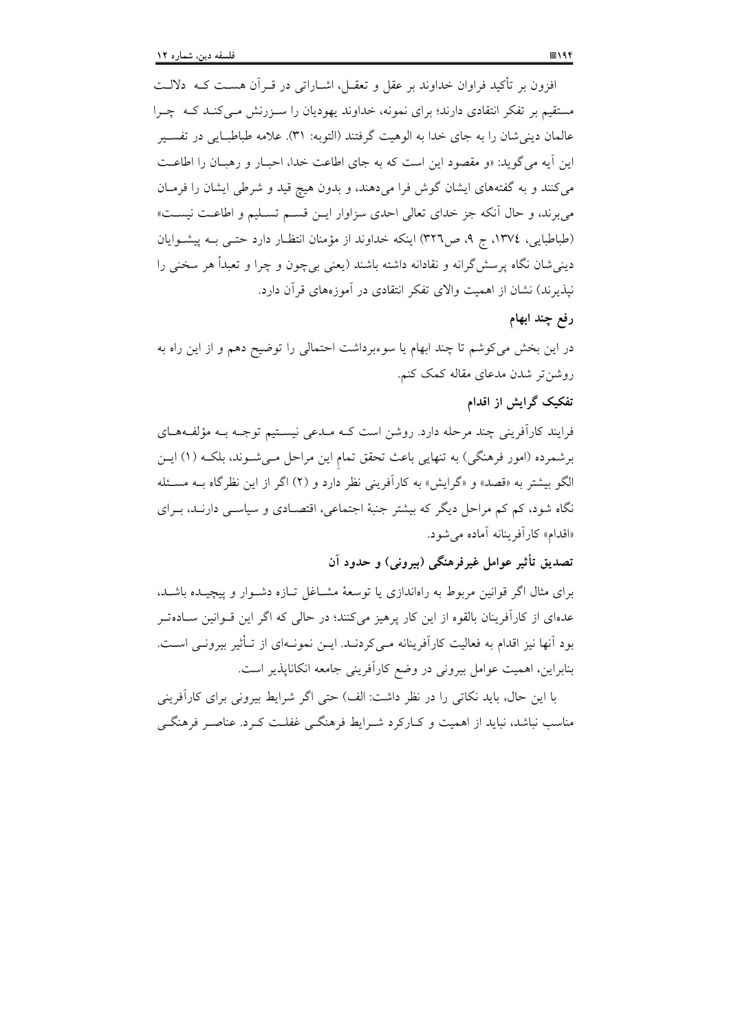افزون بر تأکید فراوان خداوند بر عقل و تعقــل، اشــاراتی در قــراَن هســت کــه ۖ دلالــت مستقیم بر تفکر انتقادی دارند؛ برای نمونه، خداوند یهودیان را سـزرنش مـیکنـد کـه چـرا عالمان ديني شان را به جاي خدا به الوهيت گرفتند (التوبه: ٣١). علامه طباطبايي در تفسـير این آیه می گوید: «و مقصود این است که به جای اطاعت خدا، احبـار و رهبـان را اطاعـت می کنند و به گفتههای ایشان گوش فرا می دهند، و بدون هیچ قید و شرطی ایشان را فرمـان می برند، و حال آنکه جز خدای تعالی احدی سزاوار ایـن قسـم تسـلیم و اطاعـت نیسـت» (طباطبایی، ١٣٧٤، ج ٩، ص٣٢٦) اینکه خداوند از مؤمنان انتظـار دارد حتـبی بــه پیشـوایان دینی شان نگاه پرسش گرانه و نقادانه داشته باشند (یعنی بی چون و چرا و تعبداً هر سخنی را نیذیرند) نشان از اهمیت والای تفکر انتقادی در آموزههای قرآن دارد.

## رفع چند ابهام

در این بخش می کوشم تا چند ابهام یا سوءبرداشت احتمالی را توضیح دهم و از این راه به روشن تر شدن مدعای مقاله کمک کنم.

## تفکیک گرایش از اقدام

فرایند کارآفرینی چند مرحله دارد. روشن است کـه مـدعی نیسـتیم توجـه بـه مؤلفـههـای برشمرده (امور فرهنگی) به تنهایی باعث تحقق تمام این مراحل مـیشـوند، بلکـه (۱) ایـن الگو بیشتر به «قصد» و «گرایش» به کارآفرینی نظر دارد و (۲) اگر از این نظرگاه بــه مسـئله نگاه شود، کم کم مراحل دیگر که بیشتر جنبهٔ اجتماعی، اقتصـادی و سیاســی دارنــد، بــرای «اقدام» كارآفرينانه آماده مي شود.

تصديق تأثير عوامل غيرفرهنگي (بيروني) و حدود آن

برای مثال اگر قوانین مربوط به راهاندازی یا توسعهٔ مشـاغل تـازه دشـوار و پیچیـده باشـد، عدهای از کارآفرینان بالقوه از این کار پرهیز میکنند؛ در حالی که اگر این قـوانین سـادهتـر بود آنها نیز اقدام به فعالیت کارآفرینانه مـیکردنــد. ایــن نمونــهای از تــأثیر بیرونــی اســت. بنابراین، اهمیت عوامل بیرونی در وضع کارآفرینی جامعه انکاناپذیر است.

با این حال، باید نکاتی را در نظر داشت: الف) حتی اگر شرایط بیرونی برای کارآفرینی مناسب نباشد، نباید از اهمیت و کـارکرد شــرایط فرهنگــی غفلــت کــرد. عناصــر فرهنگــی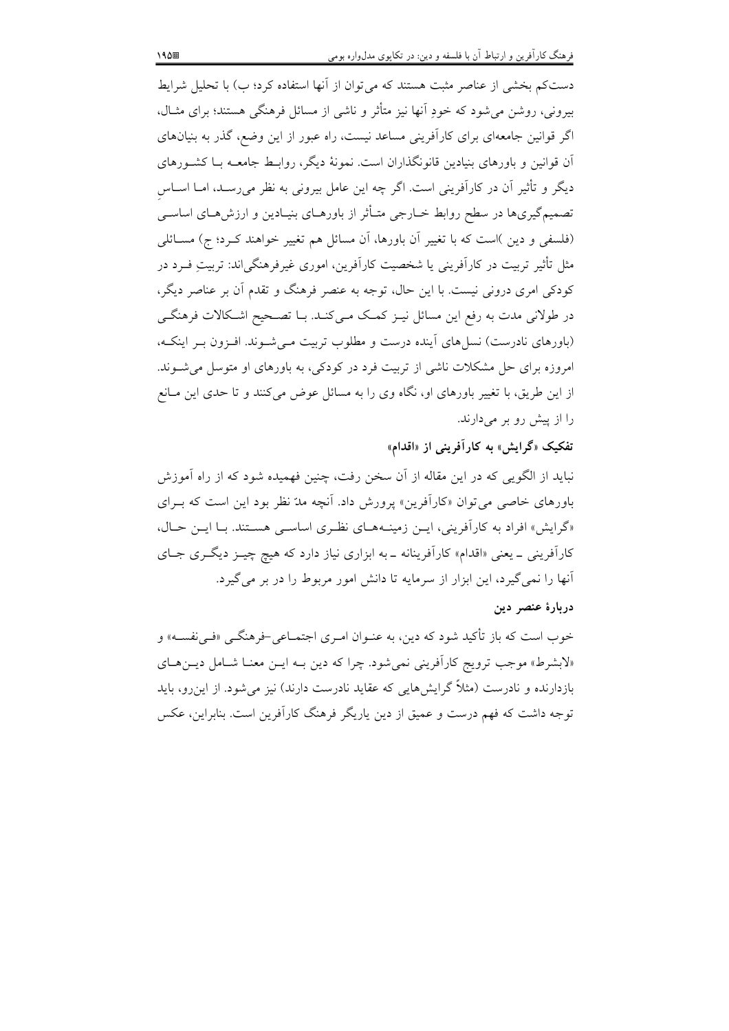دستکم بخشی از عناصر مثبت هستند که می توان از آنها استفاده کرد؛ ب) با تحلیل شرایط بیرونی، روشن میشود که خودِ اّنها نیز متأثر و ناشی از مسائل فرهنگی هستند؛ برای مثــال، اگر قوانین جامعهای برای کارآفرینی مساعد نیست، راه عبور از این وضع، گذر به بنیانهای آن قوانین و باورهای بنیادین قانونگذاران است. نمونهٔ دیگر، روابـط جامعــه بــا کشــورهای دیگر و تأثیر آن در کارآفرینی است. اگر چه این عامل بیرونی به نظر میرسـد، امــا اســاس تصمیمگیریها در سطح روابط خــارجی متــأثر از باورهــای بنیــادین و ارزش۵حـای اساســی (فلسفی و دین )است که با تغییر آن باورها، آن مسائل هم تغییر خواهند کـرد؛ ج) مسـائلی مثل تأثیر تربیت در کارآفرینی یا شخصیت کارآفرین، اموری غیرفرهنگی|ند: تربیتِ فــرد در کودکی امری درونی نیست. با این حال، توجه به عنصر فرهنگ و تقدم آن بر عناصر دیگر، در طولانی مدت به رفع این مسائل نیـز کمـک مـی کنـد. بـا تصـحیح اشـکالات فرهنگـی (باورهای نادرست) نسل های آینده درست و مطلوب تربیت مـی شـوند. افـزون بـر اینکـه، امروزه برای حل مشکلات ناشی از تربیت فرد در کودکی، به باورهای او متوسل می شوند. از این طریق، با تغییر باورهای او، نگاه وی را به مسائل عوض میکنند و تا حدی این مـانع را از پیش رو بر میدارند.

تفکیک «گرایش» به کارآفرینی از «اقدام»

نباید از الگویی که در این مقاله از آن سخن رفت، چنین فهمیده شود که از راه آموزش باورهای خاصی می توان «کارآفرین» پرورش داد. آنچه مدّ نظر بود این است که بـرای «گرایش» افراد به کارآفرینی، این زمینههای نظری اساسی هستند. با این حال، کارآفرینی ـ یعنی «اقدام» کارآفرینانه ـ به ابزاری نیاز دارد که هیچ چیـز دیگـری جـای آنها را نمی گیرد، این ابزار از سرمایه تا دانش امور مربوط را در بر می گیرد.

#### دربارة عنصر دين

خوب است که باز تأکید شود که دین، به عنـوان امـری اجتمـاعی-فرهنگــی «فــیiفســه» و «لابشرط» موجب ترويج كارآفريني نمي شود. چرا كه دين بـه ايـن معنـا شـامل ديـن هـاي بازدارنده و نادرست (مثلاً گرایشهایی که عقاید نادرست دارند) نیز می شود. از این رو، باید توجه داشت که فهم درست و عمیق از دین پاریگر فرهنگ کارآفرین است. بنابراین، عکس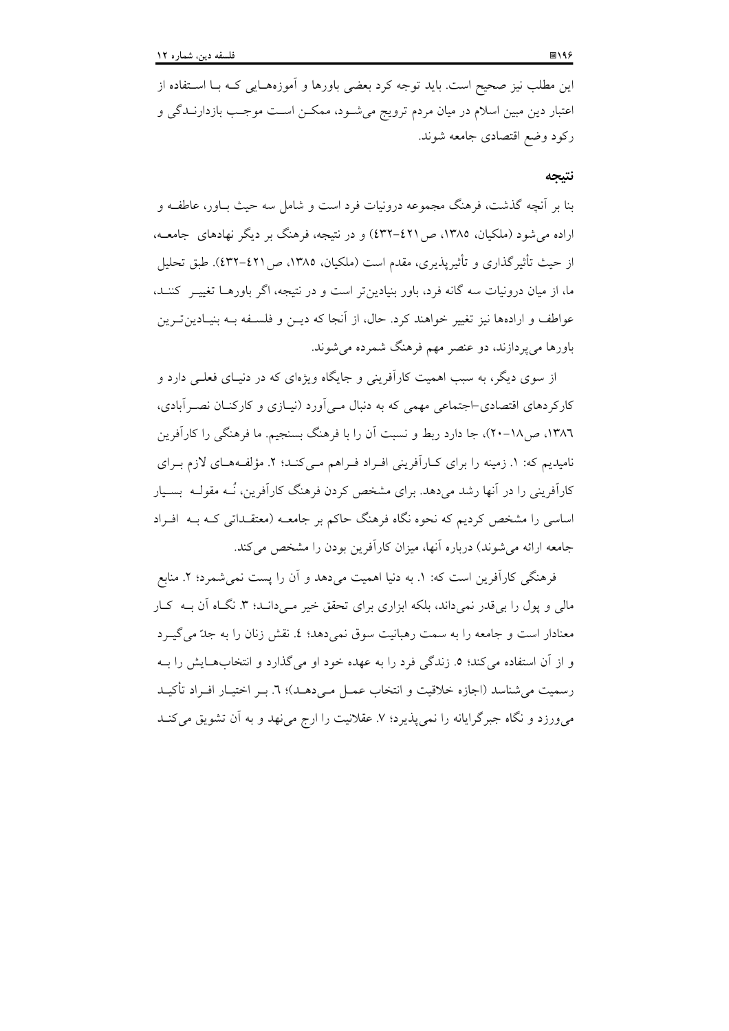این مطلب نیز صحیح است. باید توجه کرد بعضی باورها و آموزههـایی کـه بـا اسـتفاده از اعتبار دین مبین اسلام در میان مردم ترویج میشـود، ممکــن اســت موجــب بازدارنــدگی و ركود وضع اقتصادى جامعه شوند.

#### نتيجه

بنا بر آنچه گذشت، فرهنگ مجموعه درونیات فرد است و شامل سه حیث بیاور، عاطفیه و اراده می شود (ملکیان، ۱۳۸۵، ص ٤٢١–٤٣٢) و در نتیجه، فرهنگ بر دیگر نهادهای جامعــه، از حيث تأثير گذاري و تأثيريذيري، مقدم است (ملكيان، ١٣٨٥، ص ٤٢١-٤٣٢). طبق تحليل ما، از میان درونیات سه گانه فرد، باور بنیادین تر است و در نتیجه، اگر باورهــا تغییــر کننــد، عواطف و ارادهها نیز تغییر خواهند کرد. حال، از آنجا که دیــز و فلســفه بــه بنیــادیـزتـرین باورها میپردازند، دو عنصر مهم فرهنگ شمرده میشوند.

از سوی دیگر، به سبب اهمیت کارآفرینی و جایگاه ویژهای که در دنیـای فعلـی دارد و کارکردهای اقتصادی–اجتماعی مهمی که به دنبال مـی|ورد (نیـازی و کارکنـان نصـر اَبادی، ۱۳۸٦، ص۱۸-۲۰)، جا دارد ربط و نسبت آن را با فرهنگ بسنجیم. ما فرهنگی را کارآفرین نامیدیم که: ١. زمینه را برای کـارآفرینی افـراد فـراهم مـی کنـد؛ ٢. مؤلفـههـای لازم بـرای کارآفرینی را در آنها رشد می دهد. برای مشخص کردن فرهنگ کارآفرین، نُــه مقولــه ِ بســبار اساسی را مشخص کردیم که نحوه نگاه فرهنگ حاکم بر جامعـه (معتقـداتی کـه بـه افـراد جامعه ارائه می شوند) درباره آنها، میزان کارآفرین بودن را مشخص می کند.

فرهنگی کارآفرین است که: ١. به دنیا اهمیت می دهد و آن را پست نمی شمرد؛ ٢. منابع مالی و پول را بر قدر نمیداند، بلکه ابزاری برای تحقق خیر مـیدانـد؛ ۳. نگـاه آن بــه کـار معنادار است و جامعه را به سمت رهبانیت سوق نمی دهد؛ ٤. نقش زنان را به جلّ می گیـرد و از آن استفاده می کند؛ ٥. زندگی فرد را به عهده خود او می گذارد و انتخابهــایش را بــه رسميت مي شناسد (اجازه خلاقيت و انتخاب عمــل مــي دهــد)؛ ٦. بــر اختيــار افــراد تأكيــد می ورزد و نگاه جبرگرایانه را نمی پذیرد؛ ۷. عقلانیت را ارج می نهد و به آن تشویق می کنـد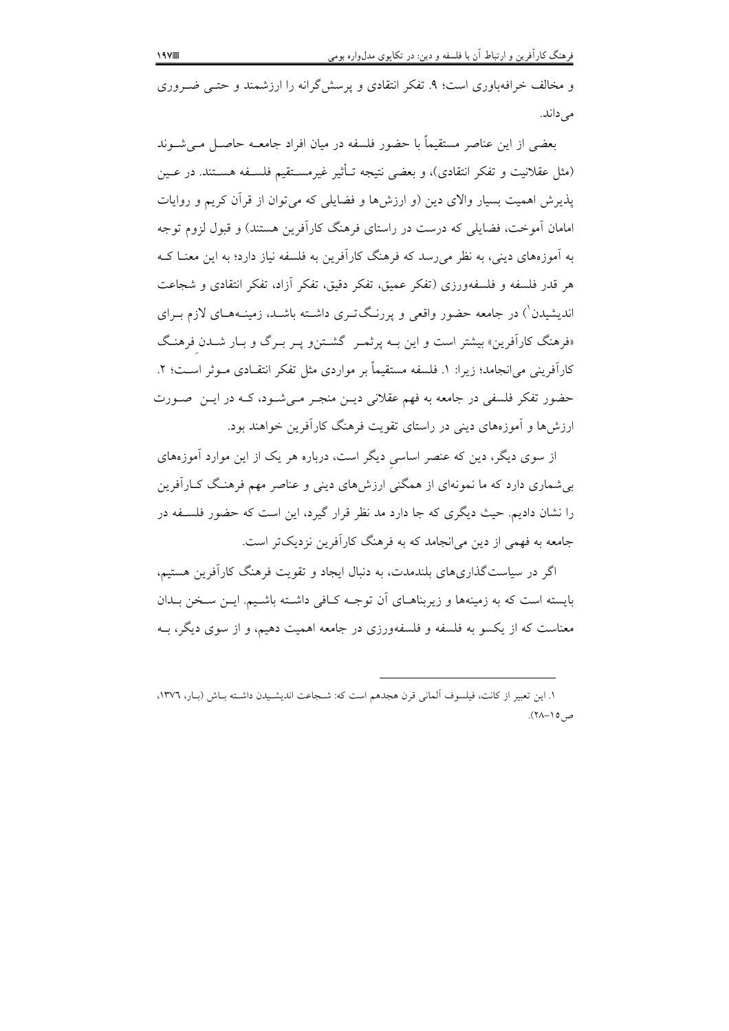و مخالف خرافهباوری است؛ ۹. تفکر انتقادی و پرسش گرانه را ارزشمند و حتـی ضـروری مىداند.

بعضی از این عناصر مستقیماً با حضور فلسفه در میان افراد جامعــه حاصــل مــیشــوند (مثل عقلانیت و تفکر انتقادی)، و بعضی نتیجه تــأثیر غیرمســتقیم فلســفه هســتند. در عــین یذیرش اهمیت بسیار والای دین (و ارزشها و فضایلی که می توان از قرآن کریم و روایات امامان آموخت، فضایلی که درست در راستای فرهنگ کارآفرین هستند) و قبول لزوم توجه به آموزههای دینی، به نظر می رسد که فرهنگ کارآفرین به فلسفه نیاز دارد؛ به این معنــا کــه هر قدر فلسفه و فلسفهورزي (تفكر عميق، تفكر دقيق، تفكر أزاد، تفكر انتقادى و شجاعت اندیشیدن<sup>'</sup>) در جامعه حضور واقعی و پررنگتری داشـته باشـد، زمینــههــای لازم بــرای «فرهنگ کارآفرین» بیشتر است و این بـه پرثمـر گشـتن و پـر بـرگ و بـار شـدن فرهنـگ کارآفرینی می(نجامد؛ زیرا: ۱. فلسفه مستقیماً بر مواردی مثل تفکر انتقـادی مــوثر اســت؛ ۲. حضور تفکر فلسفی در جامعه به فهم عقلانی دیــن منجـر مــیشــود، کــه در ایــن صــورت ارزشها و آموزههای دینی در راستای تقویت فرهنگ کارآفرین خواهند بود.

از سوی دیگر، دین که عنصر اساسی دیگر است، درباره هر یک از این موارد آموزههای بی شماری دارد که ما نمونهای از همگنی ارزشهای دینی و عناصر مهم فرهنگ کـارآفرین را نشان دادیم. حیث دیگری که جا دارد مد نظر قرار گیرد، این است که حضور فلســفه در جامعه به فهمی از دین می انجامد که به فرهنگ کارآفرین نزدیکتر است.

اگر در سیاست گذاریهای بلندمدت، به دنبال ایجاد و تقویت فرهنگ کارآفرین هستیم، بایسته است که به زمینهها و زیربناهـای آن توجـه کـافی داشـته باشـیم. ایــن سـخن بــدان معناست که از یکسو به فلسفه و فلسفهورزی در جامعه اهمیت دهیم، و از سوی دیگر، بــه

١. اين تعبير از كانت، فيلسوف آلماني قرن هجدهم است كه: شـجاعت انديشـيدن داشـته بـاش (بـار، ١٣٧٦،  $\sim$  0/- $\wedge$ 7).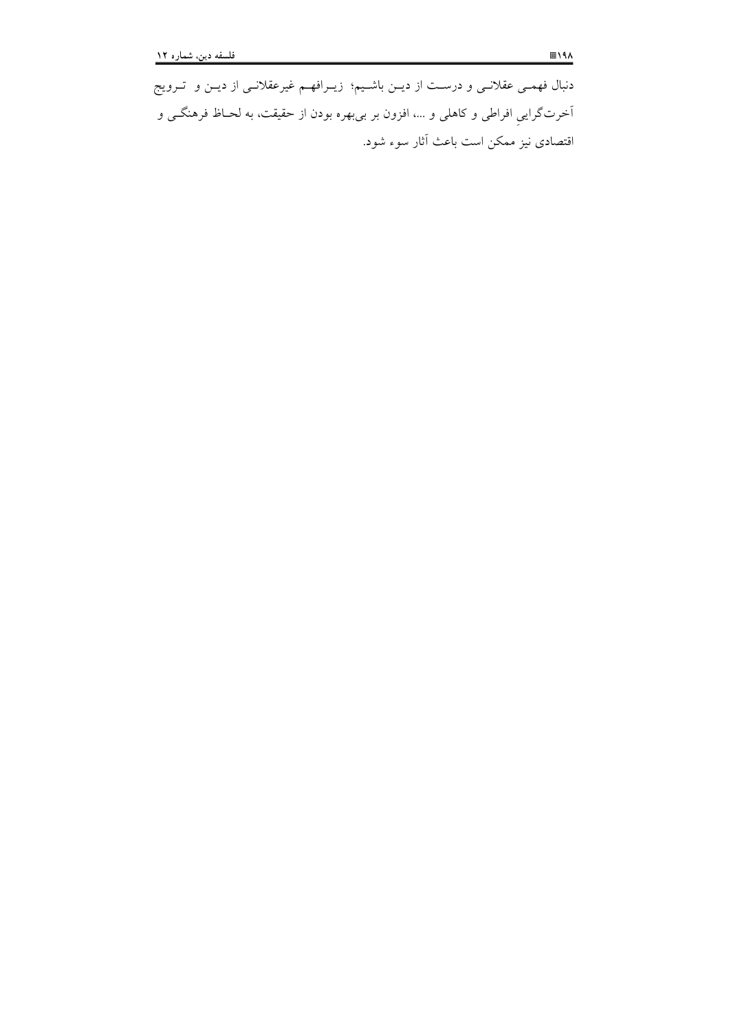دنبال فهمـی عقلانـی و درسـت از دیـن باشـیم؛ زیـرافهـم غیرعقلانـی از دیــن و تــرویج آخرتگرايي افراطي و كاهلي و …، افزون بر بيبهره بودن از حقيقت، به لحــاظ فرهنگــي و اقتصادی نیز ممکن است باعث أثار سوء شود.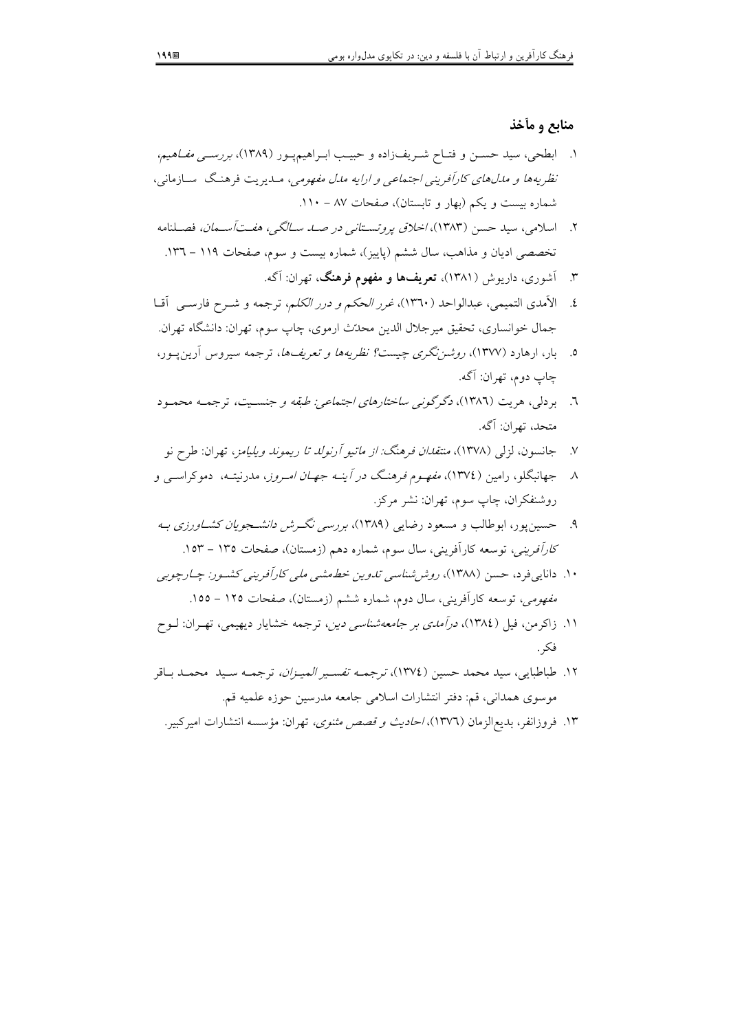## منابع و مأخذ

- ۱. ابطحی، سید حسـن و فتـاح شـریف(اده و حبیـب ابـراهیمپـور (۱۳۸۹)، *بررســی مفـاهیم،* نظریهها و مدلهای کارآفرینی اجتماعی و ارایه مدل مفهومی، مـدیریت فرهنگ سـازمانی، شماره بیست و یکم (بهار و تابستان)، صفحات ۸۷ - ۱۱۰.
- ۲. اسلامی، سید حسن (۱۳۸۳)، *اخلاق پروتستانی در صـد سـالگی، هفـتآسـمان،* فصـلنامه تخصصی ادیان و مذاهب، سال ششم (پاییز)، شماره بیست و سوم، صفحات ۱۱۹ – ۱۳٦.
	- ۳. آشوری، داریوش (۱۳۸۱)، **تعریفها و مفهوم فرهنگ**، تهران: آگه.
- ٤. الأمدى التميمي، عبدالواحد (١٣٦٠)، *غرر الحكم و درر الكلم*، ترجمه و شــرح فارســي أقــا جمال خوانساري، تحقيق مير جلال الدين محدّث ارموي، چاپ سوم، تهران: دانشگاه تهران.
- ۰. بار، ارهارد (۱۳۷۷)، *روشننگری چیست؟ نظریهها و تعریفها،* ترجمه سیروس آرین پور، چاپ دوم، تهران: آگه.
- ٦. بردلي، هريت (١٣٨٦)، *دگرگوني ساختارهاي اجتماعي: طبقه و جنسـيت،* ترجمـه محمـود متحد، تهران: آگه.
- جانسون، لزلي (١٣٧٨)، *منتقدان فرهنگ: از ماتيو آرنولد تا ريموند ويليامز*، تهران: طرح نو  $\mathsf{V}$
- ۸ جهانبگلو، رامین (١٣٧٤)، *مفهـوم فرهنـگ در آینـه جهـان امـروز*، مدرنیتـه، دموکراســی و روشنفكران، چاپ سوم، تهران: نشر مركز.
- ۹. حسین یور، ابوطالب و مسعود رضایی (۱۳۸۹)، بررسی نگرش *دانشجویان کشاورزی ب*ه كارآفريني، توسعه كارآفريني، سال سوم، شماره دهم (زمستان)، صفحات ١٣٥ - ١٥٣.
- ۱۰. دانای<sub>جا</sub>فرد، حسن (۱۳۸۸)، ر*وش شناسی تدوین خط*عشب*ی ملی کارآفرینی کشور: چـارچوبی مفهومی، توسعه کارآفرینی، سال دو*م، شماره ششم (زمستان)، صفحات ۱۲۵ – ۱۵۵.
- ۱۱. زاکرمن، فیل (۱۳۸٤)، *درآمدی بر جامعهشناسی دین*، ترجمه خشایار دیهیمی، تهـران: لــوح فكر .
- ۱۲. طباطبايي، سيد محمد حسين (١٣٧٤)، *ترجمـه تفسـير الميـزان،* ترجمـه سـيد محمـد بـاقر موسوى همداني، قم: دفتر انتشارات اسلامي جامعه مدرسين حوزه علميه قم.
	- ۱۳. فروزانفر، بدیع|لزمان (۱۳۷٦)، *احادیث و قصص مثنوی،* تهران: مؤسسه انتشارات امیرکبیر.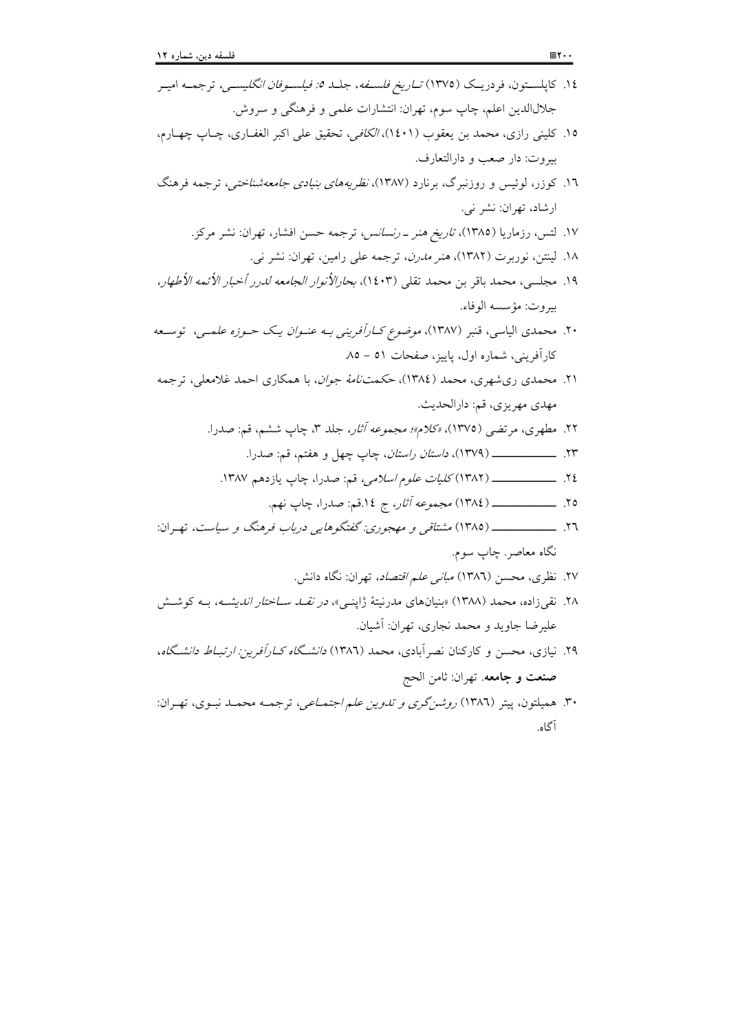آگاه.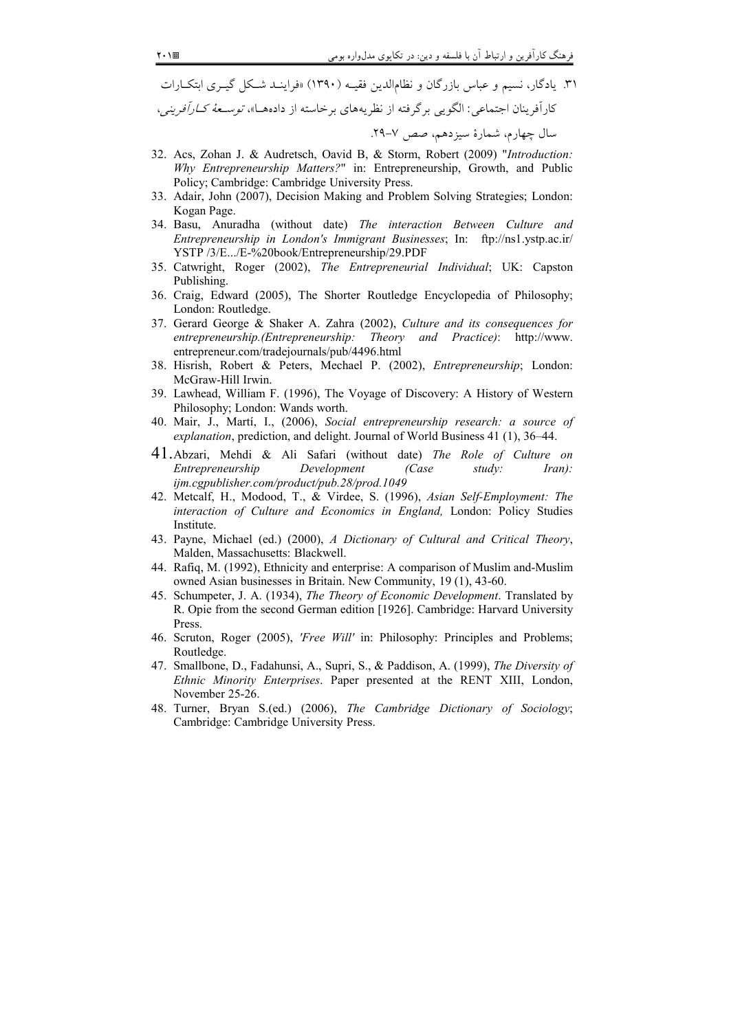۳۱. یادگار، نسیم و عباس بازرگان و نظامالدین فقیـه (۱۳۹۰) «فراینــد شــکل گیــری ابتکــارات كارآفرينان اجتماعي: الگويي برگرفته از نظريههاي برخاسته از دادههـا»، *توسـعهٔ كـارآفريني*، سال چهارم، شمارهٔ سیزدهم، صص ۷-۲۹.

- 32. Acs, Zohan J. & Audretsch, Oavid B, & Storm, Robert (2009) "Introduction: Why Entrepreneurship Matters?" in: Entrepreneurship, Growth, and Public Policy: Cambridge: Cambridge University Press.
- 33. Adair, John (2007), Decision Making and Problem Solving Strategies; London: Kogan Page.
- 34. Basu, Anuradha (without date) The interaction Between Culture and Entrepreneurship in London's Immigrant Businesses; In: ftp://ns1.ystp.ac.ir/ YSTP /3/E.../E-%20book/Entrepreneurship/29.PDF
- 35. Catwright, Roger (2002), The Entrepreneurial Individual; UK: Capston Publishing.
- 36. Craig, Edward (2005), The Shorter Routledge Encyclopedia of Philosophy; London: Routledge.
- 37. Gerard George & Shaker A. Zahra (2002), Culture and its consequences for entrepreneurship.(Entrepreneurship: Theory and Practice): http://www. entrepreneur.com/tradejournals/pub/4496.html
- 38. Hisrish, Robert & Peters, Mechael P. (2002), *Entrepreneurship*; London: McGraw-Hill Irwin.
- 39. Lawhead, William F. (1996), The Voyage of Discovery: A History of Western Philosophy; London: Wands worth.
- 40. Mair, J., Martí, I., (2006), Social entrepreneurship research: a source of explanation, prediction, and delight. Journal of World Business 41 (1), 36–44.
- 41. Abzari, Mehdi & Ali Safari (without date) The Role of Culture on Entrepreneurship Development (Case  $study:$  $Iran):$ ijm.cgpublisher.com/product/pub.28/prod.1049
- 42. Metcalf, H., Modood, T., & Virdee, S. (1996), Asian Self-Employment: The interaction of Culture and Economics in England, London: Policy Studies Institute.
- 43. Payne, Michael (ed.) (2000), A Dictionary of Cultural and Critical Theory, Malden, Massachusetts: Blackwell.
- 44. Rafiq, M. (1992), Ethnicity and enterprise: A comparison of Muslim and-Muslim owned Asian businesses in Britain. New Community, 19 (1), 43-60.
- 45. Schumpeter, J. A. (1934), The Theory of Economic Development. Translated by R. Opie from the second German edition [1926]. Cambridge: Harvard University Press.
- 46. Scruton, Roger (2005), 'Free Will' in: Philosophy: Principles and Problems; Routledge.
- 47. Smallbone, D., Fadahunsi, A., Supri, S., & Paddison, A. (1999), The Diversity of Ethnic Minority Enterprises. Paper presented at the RENT XIII, London, November 25-26.
- 48. Turner, Bryan S.(ed.) (2006), The Cambridge Dictionary of Sociology; Cambridge: Cambridge University Press.